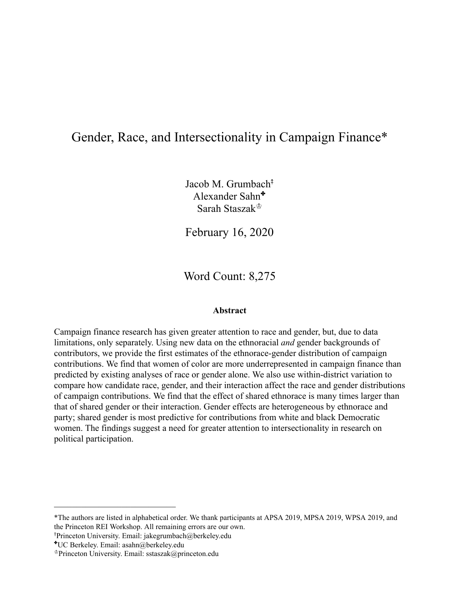# Gender, Race, and Intersectionality in Campaign Finance\*

Jacob M. Grumbach<sup>†</sup> Alexander Sahn ✤ Sarah Staszak♔

February 16, 2020

Word Count: 8,275

#### **Abstract**

Campaign finance research has given greater attention to race and gender, but, due to data limitations, only separately. Using new data on the ethnoracial *and* gender backgrounds of contributors, we provide the first estimates of the ethnorace-gender distribution of campaign contributions. We find that women of color are more underrepresented in campaign finance than predicted by existing analyses of race or gender alone. We also use within-district variation to compare how candidate race, gender, and their interaction affect the race and gender distributions of campaign contributions. We find that the effect of shared ethnorace is many times larger than that of shared gender or their interaction. Gender effects are heterogeneous by ethnorace and party; shared gender is most predictive for contributions from white and black Democratic women. The findings suggest a need for greater attention to intersectionality in research on political participation.

<sup>⤉</sup>Princeton University. Email: jakegrumbach@berkeley.edu

 $\mathcal{L}_\text{max}$  , where  $\mathcal{L}_\text{max}$  and  $\mathcal{L}_\text{max}$ 

<sup>\*</sup>The authors are listed in alphabetical order. We thank participants at APSA 2019, MPSA 2019, WPSA 2019, and the Princeton REI Workshop. All remaining errors are our own.

<sup>✤</sup>UC Berkeley. Email: asahn@berkeley.edu

<sup>♔</sup>Princeton University. Email: sstaszak@princeton.edu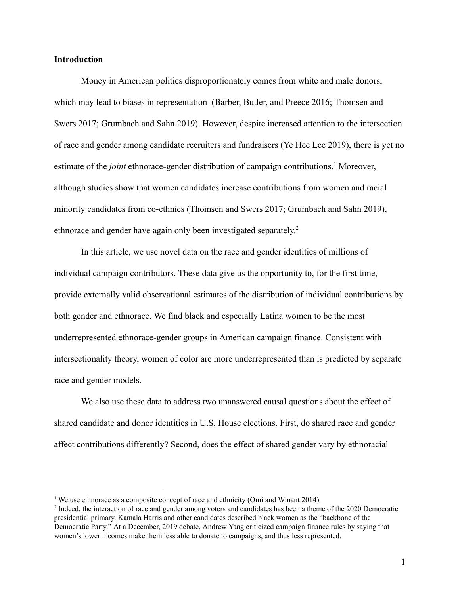#### **Introduction**

Money in American politics disproportionately comes from white and male donors, which may lead to biases in representation (Barber, Butler, and Preece 2016; Thomsen and Swers 2017; Grumbach and Sahn 2019). However, despite increased attention to the intersection of race and gender among candidate recruiters and fundraisers (Ye Hee Lee 2019), there is yet no estimate of the *joint* ethnorace-gender distribution of campaign contributions.<sup>1</sup> Moreover, although studies show that women candidates increase contributions from women and racial minority candidates from co-ethnics (Thomsen and Swers 2017; Grumbach and Sahn 2019), ethnorace and gender have again only been investigated separately.<sup>2</sup>

In this article, we use novel data on the race and gender identities of millions of individual campaign contributors. These data give us the opportunity to, for the first time, provide externally valid observational estimates of the distribution of individual contributions by both gender and ethnorace. We find black and especially Latina women to be the most underrepresented ethnorace-gender groups in American campaign finance. Consistent with intersectionality theory, women of color are more underrepresented than is predicted by separate race and gender models.

We also use these data to address two unanswered causal questions about the effect of shared candidate and donor identities in U.S. House elections. First, do shared race and gender affect contributions differently? Second, does the effect of shared gender vary by ethnoracial

<sup>&</sup>lt;sup>1</sup> We use ethnorace as a composite concept of race and ethnicity (Omi and Winant 2014).

<sup>&</sup>lt;sup>2</sup> Indeed, the interaction of race and gender among voters and candidates has been a theme of the 2020 Democratic presidential primary. Kamala Harris and other candidates described black women as the "backbone of the Democratic Party." At a December, 2019 debate, Andrew Yang criticized campaign finance rules by saying that women's lower incomes make them less able to donate to campaigns, and thus less represented.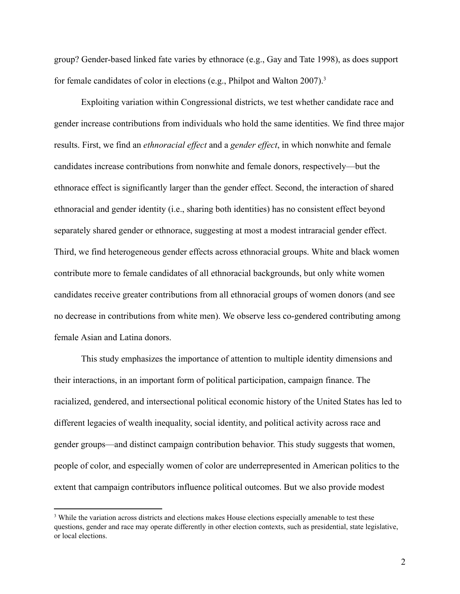group? Gender-based linked fate varies by ethnorace (e.g., Gay and Tate 1998), as does support for female candidates of color in elections (e.g., Philpot and Walton 2007). <sup>3</sup>

Exploiting variation within Congressional districts, we test whether candidate race and gender increase contributions from individuals who hold the same identities. We find three major results. First, we find an *ethnoracial effect* and a *gender effect* , in which nonwhite and female candidates increase contributions from nonwhite and female donors, respectively—but the ethnorace effect is significantly larger than the gender effect. Second, the interaction of shared ethnoracial and gender identity (i.e., sharing both identities) has no consistent effect beyond separately shared gender or ethnorace, suggesting at most a modest intraracial gender effect. Third, we find heterogeneous gender effects across ethnoracial groups. White and black women contribute more to female candidates of all ethnoracial backgrounds, but only white women candidates receive greater contributions from all ethnoracial groups of women donors (and see no decrease in contributions from white men). We observe less co-gendered contributing among female Asian and Latina donors.

This study emphasizes the importance of attention to multiple identity dimensions and their interactions, in an important form of political participation, campaign finance. The racialized, gendered, and intersectional political economic history of the United States has led to different legacies of wealth inequality, social identity, and political activity across race and gender groups—and distinct campaign contribution behavior. This study suggests that women, people of color, and especially women of color are underrepresented in American politics to the extent that campaign contributors influence political outcomes. But we also provide modest

<sup>&</sup>lt;sup>3</sup> While the variation across districts and elections makes House elections especially amenable to test these questions, gender and race may operate differently in other election contexts, such as presidential, state legislative, or local elections.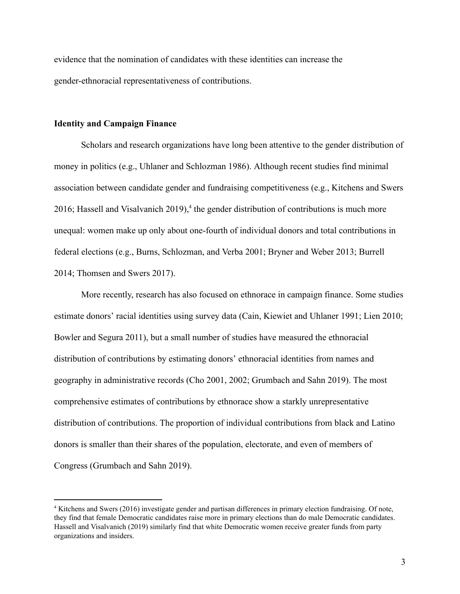evidence that the nomination of candidates with these identities can increase the gender-ethnoracial representativeness of contributions.

#### **Identity and Campaign Finance**

Scholars and research organizations have long been attentive to the gender distribution of money in politics (e.g., Uhlaner and Schlozman 1986). Although recent studies find minimal association between candidate gender and fundraising competitiveness (e.g., Kitchens and Swers 2016; Hassell and Visalvanich  $2019$ ,<sup>4</sup> the gender distribution of contributions is much more unequal: women make up only about one-fourth of individual donors and total contributions in federal elections (e.g., Burns, Schlozman, and Verba 2001; Bryner and Weber 2013; Burrell 2014; Thomsen and Swers 2017).

More recently, research has also focused on ethnorace in campaign finance. Some studies estimate donors' racial identities using survey data (Cain, Kiewiet and Uhlaner 1991; Lien 2010; Bowler and Segura 2011), but a small number of studies have measured the ethnoracial distribution of contributions by estimating donors' ethnoracial identities from names and geography in administrative records (Cho 2001, 2002; Grumbach and Sahn 2019). The most comprehensive estimates of contributions by ethnorace show a starkly unrepresentative distribution of contributions. The proportion of individual contributions from black and Latino donors is smaller than their shares of the population, electorate, and even of members of Congress (Grumbach and Sahn 2019).

<sup>4</sup> Kitchens and Swers (2016) investigate gender and partisan differences in primary election fundraising. Of note, they find that female Democratic candidates raise more in primary elections than do male Democratic candidates. Hassell and Visalvanich (2019) similarly find that white Democratic women receive greater funds from party organizations and insiders.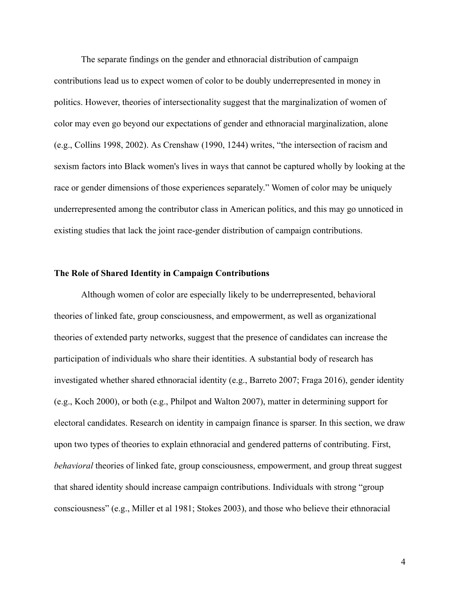The separate findings on the gender and ethnoracial distribution of campaign contributions lead us to expect women of color to be doubly underrepresented in money in politics. However, theories of intersectionality suggest that the marginalization of women of color may even go beyond our expectations of gender and ethnoracial marginalization, alone (e.g., Collins 1998, 2002) . As Crenshaw (1990, 1244) writes, "the intersection of racism and sexism factors into Black women's lives in ways that cannot be captured wholly by looking at the race or gender dimensions of those experiences separately." Women of color may be uniquely underrepresented among the contributor class in American politics, and this may go unnoticed in existing studies that lack the joint race-gender distribution of campaign contributions.

#### **The Role of Shared Identity in Campaign Contributions**

Although women of color are especially likely to be underrepresented, behavioral theories of linked fate, group consciousness, and empowerment, as well as organizational theories of extended party networks, suggest that the presence of candidates can increase the participation of individuals who share their identities. A substantial body of research has investigated whether shared ethnoracial identity (e.g., Barreto 2007; Fraga 2016), gender identity (e.g., Koch 2000), or both (e.g., Philpot and Walton 2007), matter in determining support for electoral candidates. Research on identity in campaign finance is sparser. In this section, we draw upon two types of theories to explain ethnoracial and gendered patterns of contributing. First, *behavioral* theories of linked fate, group consciousness, empowerment, and group threat suggest that shared identity should increase campaign contributions. Individuals with strong "group consciousness" (e.g., Miller et al 1981; Stokes 2003), and those who believe their ethnoracial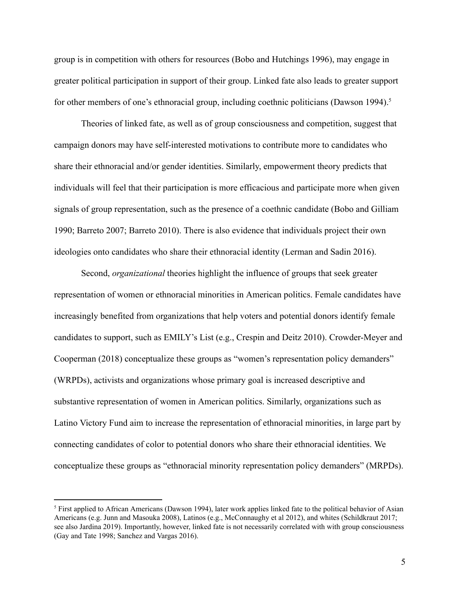group is in competition with others for resources (Bobo and Hutchings 1996), may engage in greater political participation in support of their group. Linked fate also leads to greater support for other members of one's ethnoracial group, including coethnic politicians (Dawson 1994).<sup>5</sup>

Theories of linked fate, as well as of group consciousness and competition, suggest that campaign donors may have self-interested motivations to contribute more to candidates who share their ethnoracial and/or gender identities. Similarly, empowerment theory predicts that individuals will feel that their participation is more efficacious and participate more when given signals of group representation, such as the presence of a coethnic candidate (Bobo and Gilliam 1990; Barreto 2007; Barreto 2010). There is also evidence that individuals project their own ideologies onto candidates who share their ethnoracial identity (Lerman and Sadin 2016).

Second, *organizational* theories highlight the influence of groups that seek greater representation of women or ethnoracial minorities in American politics. Female candidates have increasingly benefited from organizations that help voters and potential donors identify female candidates to support, such as EMILY's List (e.g., Crespin and Deitz 2010). Crowder-Meyer and Cooperman (2018) conceptualize these groups as "women's representation policy demanders" (WRPDs), activists and organizations whose primary goal is increased descriptive and substantive representation of women in American politics. Similarly, organizations such as Latino Victory Fund aim to increase the representation of ethnoracial minorities, in large part by connecting candidates of color to potential donors who share their ethnoracial identities. We conceptualize these groups as "ethnoracial minority representation policy demanders" (MRPDs).

<sup>5</sup> First applied to African Americans (Dawson 1994), later work applies linked fate to the political behavior of Asian Americans (e.g. Junn and Masouka 2008), Latinos (e.g., McConnaughy et al 2012), and whites (Schildkraut 2017; see also Jardina 2019). Importantly, however, linked fate is not necessarily correlated with with group consciousness (Gay and Tate 1998; Sanchez and Vargas 2016).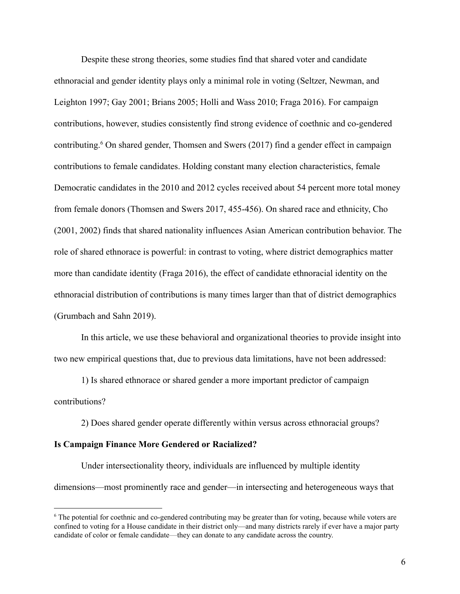Despite these strong theories, some studies find that shared voter and candidate ethnoracial and gender identity plays only a minimal role in voting (Seltzer, Newman, and Leighton 1997; Gay 2001; Brians 2005; Holli and Wass 2010; Fraga 2016). For campaign contributions, however, studies consistently find strong evidence of coethnic and co-gendered contributing. <sup>6</sup> On shared gender, Thomsen and Swers (2017) find a gender effect in campaign contributions to female candidates. Holding constant many election characteristics, female Democratic candidates in the 2010 and 2012 cycles received about 54 percent more total money from female donors (Thomsen and Swers 2017, 455-456). On shared race and ethnicity, Cho (2001, 2002) finds that shared nationality influences Asian American contribution behavior. The role of shared ethnorace is powerful: in contrast to voting, where district demographics matter more than candidate identity (Fraga 2016), the effect of candidate ethnoracial identity on the ethnoracial distribution of contributions is many times larger than that of district demographics (Grumbach and Sahn 2019).

In this article, we use these behavioral and organizational theories to provide insight into two new empirical questions that, due to previous data limitations, have not been addressed:

1) Is shared ethnorace or shared gender a more important predictor of campaign contributions?

2) Does shared gender operate differently within versus across ethnoracial groups?

#### **Is Campaign Finance More Gendered or Racialized?**

Under intersectionality theory, individuals are influenced by multiple identity dimensions—most prominently race and gender—in intersecting and heterogeneous ways that

<sup>&</sup>lt;sup>6</sup> The potential for coethnic and co-gendered contributing may be greater than for voting, because while voters are confined to voting for a House candidate in their district only—and many districts rarely if ever have a major party candidate of color or female candidate— they can donate to any candidate across the country.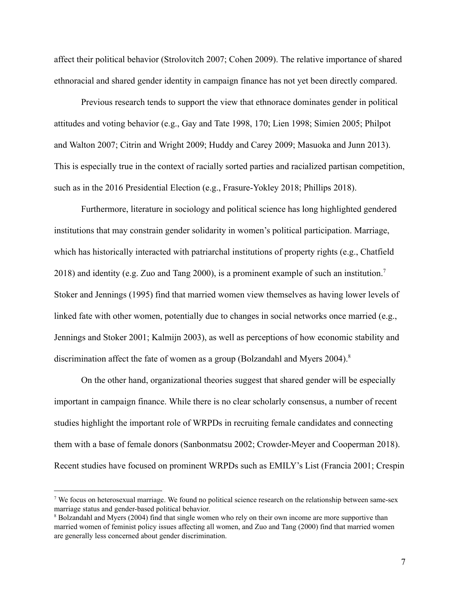affect their political behavior (Strolovitch 2007; Cohen 2009). The relative importance of shared ethnoracial and shared gender identity in campaign finance has not yet been directly compared.

Previous research tends to support the view that ethnorace dominates gender in political attitudes and voting behavior (e.g., Gay and Tate 1998, 170; Lien 1998; Simien 2005; Philpot and Walton 2007; Citrin and Wright 2009; Huddy and Carey 2009; Masuoka and Junn 2013). This is especially true in the context of racially sorted parties and racialized partisan competition, such as in the 2016 Presidential Election (e.g., Frasure-Yokley 2018; Phillips 2018).

Furthermore, literature in sociology and political science has long highlighted gendered institutions that may constrain gender solidarity in women's political participation. Marriage, which has historically interacted with patriarchal institutions of property rights (e.g., Chatfield 2018) and identity (e.g. Zuo and Tang 2000), is a prominent example of such an institution.<sup>7</sup> Stoker and Jennings (1995) find that married women view themselves as having lower levels of linked fate with other women, potentially due to changes in social networks once married (e.g., Jennings and Stoker 2001; Kalmijn 2003), as well as perceptions of how economic stability and discrimination affect the fate of women as a group (Bolzandahl and Myers 2004).<sup>8</sup>

On the other hand, organizational theories suggest that shared gender will be especially important in campaign finance. While there is no clear scholarly consensus, a number of recent studies highlight the important role of WRPDs in recruiting female candidates and connecting them with a base of female donors (Sanbonmatsu 2002; Crowder-Meyer and Cooperman 2018). Recent studies have focused on prominent WRPDs such as EMILY's List (Francia 2001; Crespin

<sup>7</sup> We focus on heterosexual marriage. We found no political science research on the relationship between same-sex marriage status and gender-based political behavior.

<sup>&</sup>lt;sup>8</sup> Bolzandahl and Myers (2004) find that single women who rely on their own income are more supportive than married women of feminist policy issues affecting all women, and Zuo and Tang (2000) find that married women are generally less concerned about gender discrimination.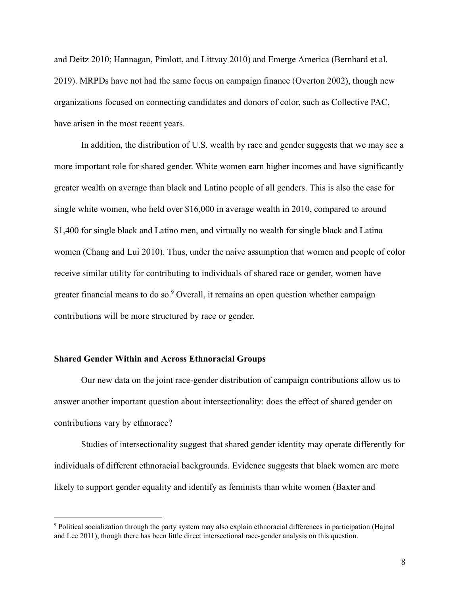and Deitz 2010; Hannagan, Pimlott, and Littvay 2010) and Emerge America (Bernhard et al. 2019). MRPDs have not had the same focus on campaign finance (Overton 2002), though new organizations focused on connecting candidates and donors of color, such as Collective PAC, have arisen in the most recent years.

In addition, the distribution of U.S. wealth by race and gender suggests that we may see a more important role for shared gender. White women earn higher incomes and have significantly greater wealth on average than black and Latino people of all genders. This is also the case for single white women, who held over \$16,000 in average wealth in 2010, compared to around \$1,400 for single black and Latino men, and virtually no wealth for single black and Latina women (Chang and Lui 2010). Thus, under the naive assumption that women and people of color receive similar utility for contributing to individuals of shared race or gender, women have greater financial means to do so.<sup>9</sup> Overall, it remains an open question whether campaign contributions will be more structured by race or gender.

#### **Shared Gender Within and Across Ethnoracial Groups**

Our new data on the joint race-gender distribution of campaign contributions allow us to answer another important question about intersectionality: does the effect of shared gender on contributions vary by ethnorace?

Studies of intersectionality suggest that shared gender identity may operate differently for individuals of different ethnoracial backgrounds. Evidence suggests that black women are more likely to support gender equality and identify as feminists than white women (Baxter and

<sup>9</sup> Political socialization through the party system may also explain ethnoracial differences in participation (Hajnal and Lee 2011), though there has been little direct intersectional race-gender analysis on this question.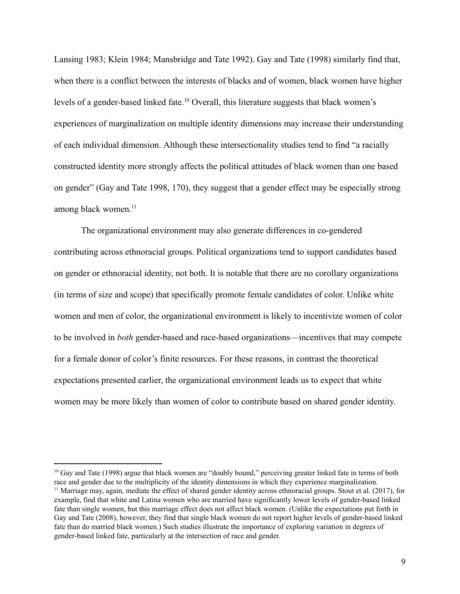Lansing 1983; Klein 1984; Mansbridge and Tate 1992). Gay and Tate (1998) similarly find that, when there is a conflict between the interests of blacks and of women, black women have higher levels of a gender-based linked fate.<sup>10</sup> Overall, this literature suggests that black women's experiences of marginalization on multiple identity dimensions may increase their understanding of each individual dimension. Although these intersectionality studies tend to find "a racially constructed identity more strongly affects the political attitudes of black women than one based on gender" (Gay and Tate 1998, 170), they suggest that a gender effect may be especially strong among black women.<sup>11</sup>

The organizational environment may also generate differences in co-gendered contributing across ethnoracial groups. Political organizations tend to support candidates based on gender or ethnoracial identity, not both. It is notable that there are no corollary organizations (in terms of size and scope) that specifically promote female candidates of color. Unlike white women and men of color, the organizational environment is likely to incentivize women of color to be involved in *both* gender-based and race-based organizations—incentives that may compete for a female donor of color's finite resources. For these reasons, in contrast the theoretical expectations presented earlier, the organizational environment leads us to expect that white women may be more likely than women of color to contribute based on shared gender identity.

<sup>&</sup>lt;sup>10</sup> Gay and Tate (1998) argue that black women are "doubly bound," perceiving greater linked fate in terms of both race and gender due to the multiplicity of the identity dimensions in which they experience marginalization.  $11$  Marriage may, again, mediate the effect of shared gender identity across ethnoracial groups. Stout et al. (2017), for example, find that white and Latina women who are married have significantly lower levels of gender-based linked fate than single women, but this marriage effect does not affect black women. (Unlike the expectations put forth in Gay and Tate (2008), however, they find that single black women do not report higher levels of gender-based linked fate than do married black women.) Such studies illustrate the importance of exploring variation in degrees of gender-based linked fate, particularly at the intersection of race and gender.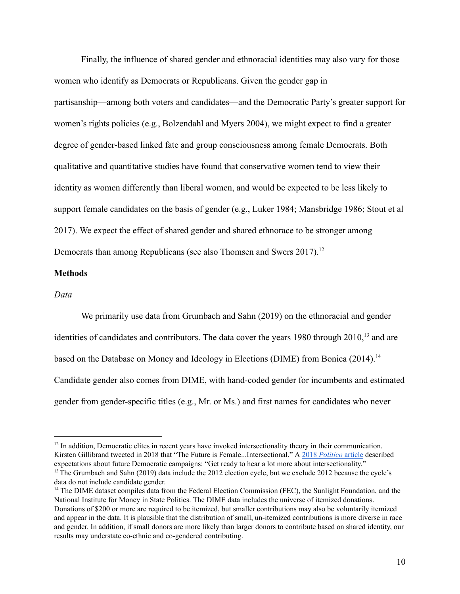Finally, the influence of shared gender and ethnoracial identities may also vary for those women who identify as Democrats or Republicans. Given the gender gap in partisanship—among both voters and candidates—and the Democratic Party's greater support for women's rights policies (e.g., Bolzendahl and Myers 2004), we might expect to find a greater degree of gender-based linked fate and group consciousness among female Democrats. Both qualitative and quantitative studies have found that conservative women tend to view their identity as women differently than liberal women, and would be expected to be less likely to support female candidates on the basis of gender (e.g., Luker 1984; Mansbridge 1986; Stout et al 2017). We expect the effect of shared gender and shared ethnorace to be stronger among Democrats than among Republicans (see also Thomsen and Swers 2017).<sup>12</sup>

#### **Methods**

#### *Data*

We primarily use data from Grumbach and Sahn (2019) on the ethnoracial and gender identities of candidates and contributors. The data cover the years  $1980$  through  $2010$ ,<sup>13</sup> and are based on the Database on Money and Ideology in Elections (DIME) from Bonica (2014). <sup>14</sup> Candidate gender also comes from DIME, with hand-coded gender for incumbents and estimated gender from gender-specific titles (e.g., Mr. or Ms.) and first names for candidates who never

<sup>&</sup>lt;sup>12</sup> In addition, Democratic elites in recent years have invoked intersectionality theory in their communication. Kirsten Gillibrand tweeted in 2018 that "The Future is Female...Intersectional." A [2018](https://www.politico.com/story/2018/11/19/democrats-2020-race-identity-politics-strategy-1000249) *[Politico](https://www.politico.com/story/2018/11/19/democrats-2020-race-identity-politics-strategy-1000249)* [article](https://www.politico.com/story/2018/11/19/democrats-2020-race-identity-politics-strategy-1000249) described expectations about future Democratic campaigns: "Get ready to hear a lot more about intersectionality." <sup>13</sup> The Grumbach and Sahn (2019) data include the 2012 election cycle, but we exclude 2012 because the cycle's

data do not include candidate gender.

<sup>&</sup>lt;sup>14</sup> The DIME dataset compiles data from the Federal Election Commission (FEC), the Sunlight Foundation, and the National Institute for Money in State Politics. The DIME data includes the universe of itemized donations. Donations of \$200 or more are required to be itemized, but smaller contributions may also be voluntarily itemized and appear in the data. It is plausible that the distribution of small, un-itemized contributions is more diverse in race and gender. In addition, if small donors are more likely than larger donors to contribute based on shared identity, our results may understate co-ethnic and co-gendered contributing.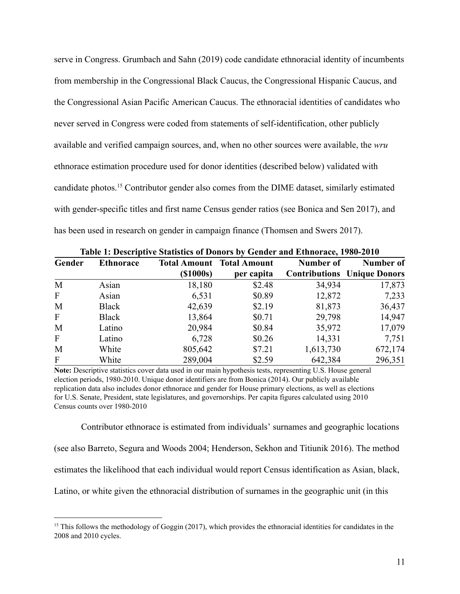serve in Congress. Grumbach and Sahn (2019) code candidate ethnoracial identity of incumbents from membership in the Congressional Black Caucus, the Congressional Hispanic Caucus, and the Congressional Asian Pacific American Caucus. The ethnoracial identities of candidates who never served in Congress were coded from statements of self-identification, other publicly available and verified campaign sources, and, when no other sources were available, the *wru*  ethnorace estimation procedure used for donor identities (described below) validated with candidate photos.<sup>15</sup> Contributor gender also comes from the DIME dataset, similarly estimated with gender-specific titles and first name Census gender ratios (see Bonica and Sen 2017), and has been used in research on gender in campaign finance (Thomsen and Swers 2017).

| Gender       | <b>Ethnorace</b> | Table 1. Descriptive statistics of Dollors by Genuer and Ethnolace, 1700-2010 | <b>Total Amount Total Amount</b> | Number of | Number of                          |  |
|--------------|------------------|-------------------------------------------------------------------------------|----------------------------------|-----------|------------------------------------|--|
|              |                  | $($ \$1000s $)$                                                               | per capita                       |           | <b>Contributions</b> Unique Donors |  |
| M            | Asian            | 18,180                                                                        | \$2.48                           | 34,934    | 17,873                             |  |
| $\mathbf{F}$ | Asian            | 6,531                                                                         | \$0.89                           | 12,872    | 7,233                              |  |
| M            | Black            | 42,639                                                                        | \$2.19                           | 81,873    | 36,437                             |  |
| $\mathbf{F}$ | <b>Black</b>     | 13,864                                                                        | \$0.71                           | 29,798    | 14,947                             |  |
| M            | Latino           | 20,984                                                                        | \$0.84                           | 35,972    | 17,079                             |  |
| $\mathbf{F}$ | Latino           | 6,728                                                                         | \$0.26                           | 14,331    | 7,751                              |  |
| M            | White            | 805,642                                                                       | \$7.21                           | 1,613,730 | 672,174                            |  |
| $\mathbf{F}$ | White            | 289,004                                                                       | \$2.59                           | 642,384   | 296,351                            |  |

**Table 1: Descriptive Statistics of Donors by Gender and Ethnorace, 1980-2010** 

**Note:** Descriptive statistics cover data used in our main hypothesis tests, representing U.S. House general election periods, 1980-2010. Unique donor identifiers are from Bonica (2014). Our publicly available replication data also includes donor ethnorace and gender for House primary elections, as well as elections for U.S. Senate, President, state legislatures, and governorships. Per capita figures calculated using 2010 Census counts over 1980-2010

Contributor ethnorace is estimated from individuals' surnames and geographic locations (see also Barreto, Segura and Woods 2004; Henderson, Sekhon and Titiunik 2016). The method estimates the likelihood that each individual would report Census identification as Asian, black, Latino, or white given the ethnoracial distribution of surnames in the geographic unit (in this

<sup>&</sup>lt;sup>15</sup> This follows the methodology of Goggin (2017), which provides the ethnoracial identities for candidates in the 2008 and 2010 cycles.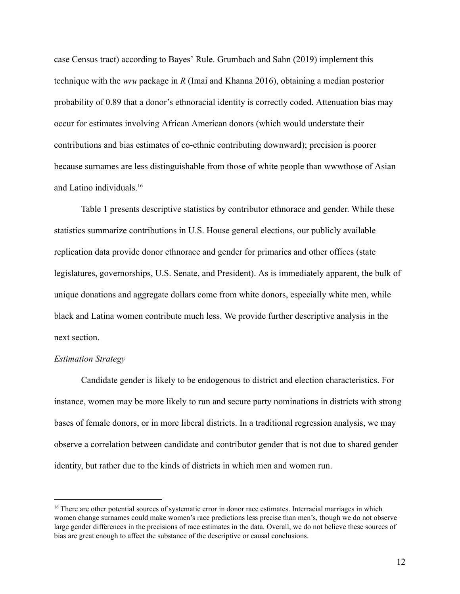case Census tract) according to Bayes' Rule. Grumbach and Sahn (2019) implement this technique with the *wru* package in *R* (Imai and Khanna 2016), obtaining a median posterior probability of 0.89 that a donor's ethnoracial identity is correctly coded. Attenuation bias may occur for estimates involving African American donors (which would understate their contributions and bias estimates of co-ethnic contributing downward); precision is poorer because surnames are less distinguishable from those of white people than wwwthose of Asian and Latino individuals. <sup>16</sup>

Table 1 presents descriptive statistics by contributor ethnorace and gender. While these statistics summarize contributions in U.S. House general elections, our publicly available replication data provide donor ethnorace and gender for primaries and other offices (state legislatures, governorships, U.S. Senate, and President). As is immediately apparent, the bulk of unique donations and aggregate dollars come from white donors, especially white men, while black and Latina women contribute much less. We provide further descriptive analysis in the next section.

#### *Estimation Strategy*

Candidate gender is likely to be endogenous to district and election characteristics. For instance, women may be more likely to run and secure party nominations in districts with strong bases of female donors, or in more liberal districts. In a traditional regression analysis, we may observe a correlation between candidate and contributor gender that is not due to shared gender identity, but rather due to the kinds of districts in which men and women run.

<sup>&</sup>lt;sup>16</sup> There are other potential sources of systematic error in donor race estimates. Interracial marriages in which women change surnames could make women's race predictions less precise than men's, though we do not observe large gender differences in the precisions of race estimates in the data. Overall, we do not believe these sources of bias are great enough to affect the substance of the descriptive or causal conclusions.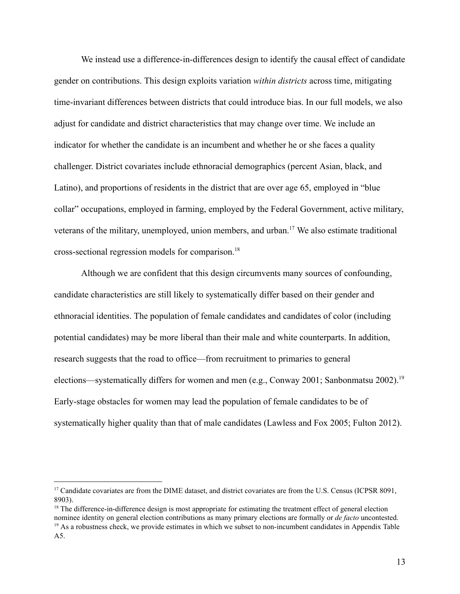We instead use a difference-in-differences design to identify the causal effect of candidate gender on contributions. This design exploits variation *within districts* across time, mitigating time-invariant differences between districts that could introduce bias. In our full models, we also adjust for candidate and district characteristics that may change over time. We include an indicator for whether the candidate is an incumbent and whether he or she faces a quality challenger. District covariates include ethnoracial demographics (percent Asian, black, and Latino), and proportions of residents in the district that are over age 65, employed in "blue collar" occupations, employed in farming, employed by the Federal Government, active military, veterans of the military, unemployed, union members, and urban.<sup>17</sup> We also estimate traditional cross-sectional regression models for comparison. <sup>18</sup>

Although we are confident that this design circumvents many sources of confounding, candidate characteristics are still likely to systematically differ based on their gender and ethnoracial identities. The population of female candidates and candidates of color (including potential candidates) may be more liberal than their male and white counterparts. In addition, research suggests that the road to office—from recruitment to primaries to general elections—systematically differs for women and men (e.g., Conway 2001; Sanbonmatsu 2002). <sup>19</sup> Early-stage obstacles for women may lead the population of female candidates to be of systematically higher quality than that of male candidates (Lawless and Fox 2005; Fulton 2012).

<sup>&</sup>lt;sup>17</sup> Candidate covariates are from the DIME dataset, and district covariates are from the U.S. Census (ICPSR 8091, 8903).

<sup>&</sup>lt;sup>18</sup> The difference-in-difference design is most appropriate for estimating the treatment effect of general election nominee identity on general election contributions as many primary elections are formally or *de facto* uncontested.  $19$  As a robustness check, we provide estimates in which we subset to non-incumbent candidates in Appendix Table A5.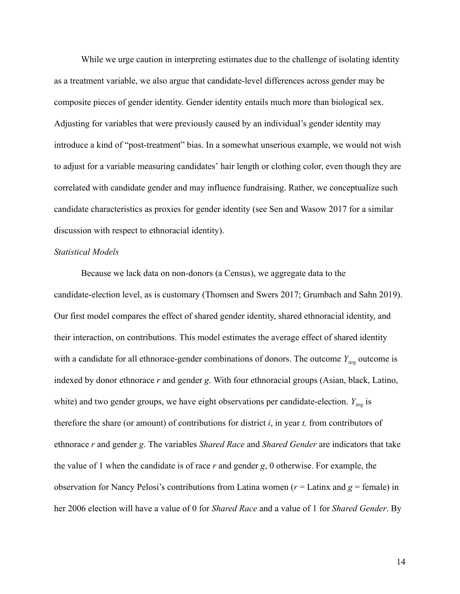While we urge caution in interpreting estimates due to the challenge of isolating identity as a treatment variable, we also argue that candidate-level differences across gender may be composite pieces of gender identity. Gender identity entails much more than biological sex. Adjusting for variables that were previously caused by an individual's gender identity may introduce a kind of "post-treatment" bias. In a somewhat unserious example, we would not wish to adjust for a variable measuring candidates' hair length or clothing color, even though they are correlated with candidate gender and may influence fundraising. Rather, we conceptualize such candidate characteristics as proxies for gender identity (see Sen and Wasow 2017 for a similar discussion with respect to ethnoracial identity).

#### *Statistical Models*

Because we lack data on non-donors (a Census), we aggregate data to the candidate-election level, as is customary (Thomsen and Swers 2017; Grumbach and Sahn 2019). Our first model compares the effect of shared gender identity, shared ethnoracial identity, and their interaction, on contributions. This model estimates the average effect of shared identity with a candidate for all ethnorace-gender combinations of donors. The outcome  $Y_{i\alpha\beta}$  outcome is indexed by donor ethnorace *r* and gender *g*. With four ethnoracial groups (Asian, black, Latino, white) and two gender groups, we have eight observations per candidate-election.  $Y_{i\text{trg}}$  is therefore the share (or amount) of contributions for district *i* , in year *t,* from contributors of ethnorace *r* and gender *g* . The variables *Shared Race* and *Shared Gender* are indicators that take the value of 1 when the candidate is of race *r* and gender *g*, 0 otherwise. For example, the observation for Nancy Pelosi's contributions from Latina women ( $r =$  Latinx and  $g =$  female) in her 2006 election will have a value of 0 for *Shared Race* and a value of 1 for *Shared Gender* . By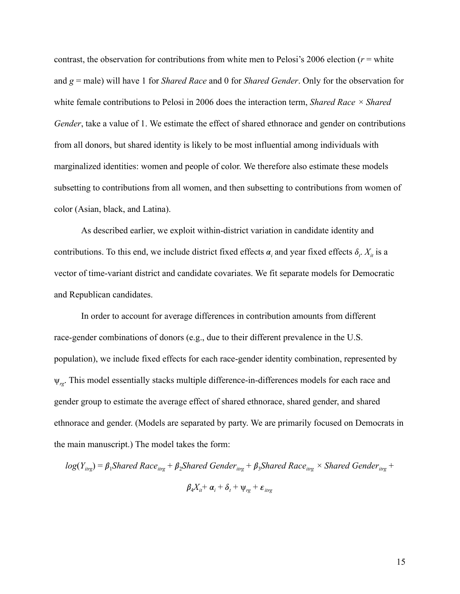contrast, the observation for contributions from white men to Pelosi's 2006 election  $(r = \text{white})$ and *g* = male) will have 1 for *Shared Race* and 0 for *Shared Gender* . Only for the observation for white female contributions to Pelosi in 2006 does the interaction term, *Shared Race × Shared*  Gender, take a value of 1. We estimate the effect of shared ethnorace and gender on contributions from all donors, but shared identity is likely to be most influential among individuals with marginalized identities: women and people of color. We therefore also estimate these models subsetting to contributions from all women, and then subsetting to contributions from women of color (Asian, black, and Latina).

As described earlier, we exploit within-district variation in candidate identity and contributions. To this end, we include district fixed effects  $\alpha_i$  and year fixed effects  $\delta_i$ .  $X_i$  is a vector of time-variant district and candidate covariates. We fit separate models for Democratic and Republican candidates.

In order to account for average differences in contribution amounts from different race-gender combinations of donors (e.g., due to their different prevalence in the U.S. population), we include fixed effects for each race-gender identity combination, represented by ψ *rg* . This model essentially stacks multiple difference-in-differences models for each race and gender group to estimate the average effect of shared ethnorace, shared gender, and shared ethnorace and gender. (Models are separated by party. We are primarily focused on Democrats in the main manuscript.) The model takes the form:

$$
log(Y_{irg}) = \beta_1 Shared\ Race_{irg} + \beta_2 Shared\ Genome_{irg} + \beta_3 Shared\ Race_{irg} \times Shared\ Genome_{irg} + \beta_4 X_{it} + \alpha_i + \delta_t + \psi_{rg} + \epsilon_{irg}
$$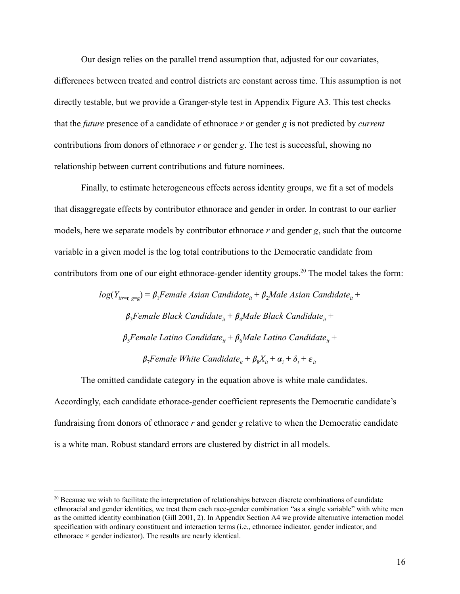Our design relies on the parallel trend assumption that, adjusted for our covariates, differences between treated and control districts are constant across time. This assumption is not directly testable, but we provide a Granger-style test in Appendix Figure A3. This test checks that the *future* presence of a candidate of ethnorace *r* or gender *g* is not predicted by *current*  contributions from donors of ethnorace *r* or gender *g*. The test is successful, showing no relationship between current contributions and future nominees.

Finally, to estimate heterogeneous effects across identity groups, we fit a set of models that disaggregate effects by contributor ethnorace and gender in order. In contrast to our earlier models, here we separate models by contributor ethnorace r and gender g, such that the outcome variable in a given model is the log total contributions to the Democratic candidate from contributors from one of our eight ethnorace-gender identity groups.<sup>20</sup> The model takes the form:

> $log(Y_{i} = f) = \beta_1$ Female Asian Candidate<sub>it</sub> +  $\beta_2$ Male Asian Candidate<sub>it</sub> +  $\beta_3$ Female Black Candidate<sub>it</sub> +  $\beta_4$ Male Black Candidate<sub>it</sub> +  $\beta_{5}$ Female Latino Candidate<sub>it</sub> +  $\beta_{6}$ Male Latino Candidate<sub>it</sub> +  $\beta_7$ Female White Candidate<sub>it</sub> +  $\beta_8 X_{it} + \alpha_i + \delta_t + \varepsilon_{it}$

The omitted candidate category in the equation above is white male candidates. Accordingly, each candidate ethorace-gender coefficient represents the Democratic candidate's fundraising from donors of ethnorace *r* and gender *g* relative to when the Democratic candidate is a white man. Robust standard errors are clustered by district in all models.

<sup>&</sup>lt;sup>20</sup> Because we wish to facilitate the interpretation of relationships between discrete combinations of candidate ethnoracial and gender identities, we treat them each race-gender combination "as a single variable" with white men as the omitted identity combination (Gill 2001, 2). In Appendix Section A4 we provide alternative interaction model specification with ordinary constituent and interaction terms (i.e., ethnorace indicator, gender indicator, and ethnorace × gender indicator). The results are nearly identical.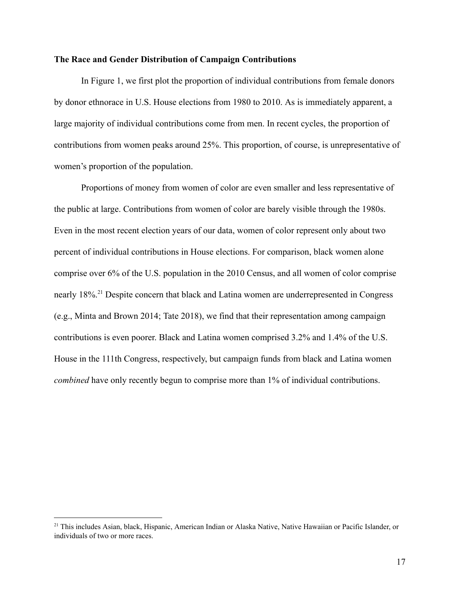#### **The Race and Gender Distribution of Campaign Contributions**

In Figure 1, we first plot the proportion of individual contributions from female donors by donor ethnorace in U.S. House elections from 1980 to 2010. As is immediately apparent, a large majority of individual contributions come from men. In recent cycles, the proportion of contributions from women peaks around 25%. This proportion, of course, is unrepresentative of women's proportion of the population.

Proportions of money from women of color are even smaller and less representative of the public at large. Contributions from women of color are barely visible through the 1980s. Even in the most recent election years of our data, women of color represent only about two percent of individual contributions in House elections. For comparison, black women alone comprise over 6% of the U.S. population in the 2010 Census, and all women of color comprise nearly 18%.<sup>21</sup> Despite concern that black and Latina women are underrepresented in Congress (e.g., Minta and Brown 2014; Tate 2018), we find that their representation among campaign contributions is even poorer. Black and Latina women comprised 3.2% and 1.4% of the U.S. House in the 111th Congress, respectively, but campaign funds from black and Latina women *combined* have only recently begun to comprise more than 1% of individual contributions.

<sup>&</sup>lt;sup>21</sup> This includes Asian, black, Hispanic, American Indian or Alaska Native, Native Hawaiian or Pacific Islander, or individuals of two or more races.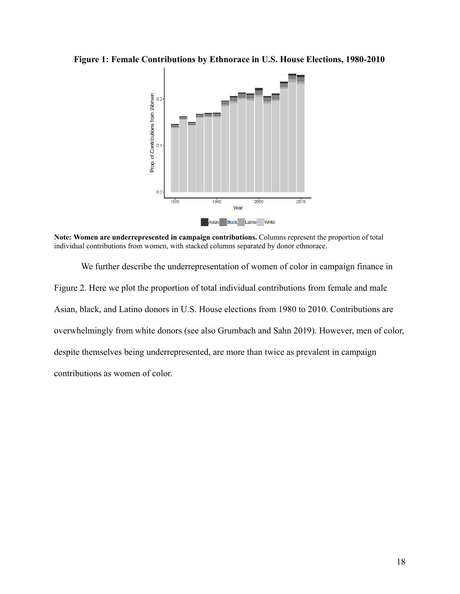**Figure 1: Female Contributions by Ethnorace in U.S. House Elections, 1980-2010** 



**Note: Women are underrepresented in campaign contributions.** Columns represent the proportion of total individual contributions from women, with stacked columns separated by donor ethnorace.

We further describe the underrepresentation of women of color in campaign finance in Figure 2. Here we plot the proportion of total individual contributions from female and male Asian, black, and Latino donors in U.S. House elections from 1980 to 2010. Contributions are overwhelmingly from white donors (see also Grumbach and Sahn 2019). However, men of color, despite themselves being underrepresented, are more than twice as prevalent in campaign contributions as women of color.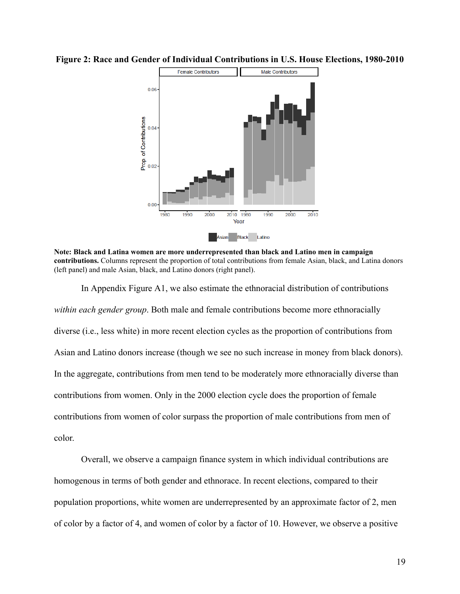

**Figure 2: Race and Gender of Individual Contributions in U.S. House Elections, 1980-2010** 

In Appendix Figure A1, we also estimate the ethnoracial distribution of contributions *within each gender group* . Both male and female contributions become more ethnoracially diverse (i.e., less white) in more recent election cycles as the proportion of contributions from Asian and Latino donors increase (though we see no such increase in money from black donors). In the aggregate, contributions from men tend to be moderately more ethnoracially diverse than contributions from women. Only in the 2000 election cycle does the proportion of female contributions from women of color surpass the proportion of male contributions from men of color.

Overall, we observe a campaign finance system in which individual contributions are homogenous in terms of both gender and ethnorace. In recent elections, compared to their population proportions, white women are underrepresented by an approximate factor of 2, men of color by a factor of 4, and women of color by a factor of 10. However, we observe a positive

**Note: Black and Latina women are more underrepresented than black and Latino men in campaign contributions.** Columns represent the proportion of total contributions from female Asian, black, and Latina donors (left panel) and male Asian, black, and Latino donors (right panel).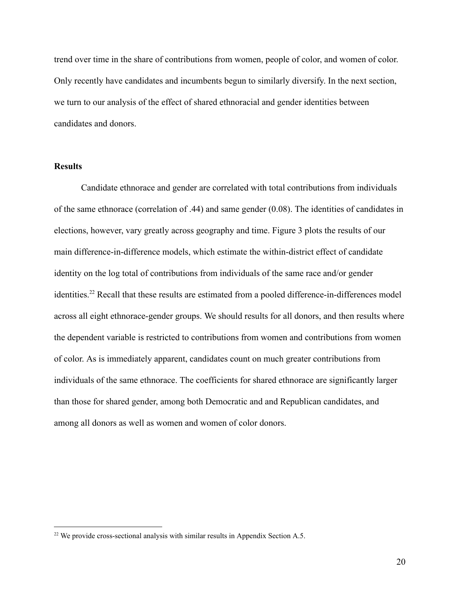trend over time in the share of contributions from women, people of color, and women of color. Only recently have candidates and incumbents begun to similarly diversify. In the next section, we turn to our analysis of the effect of shared ethnoracial and gender identities between candidates and donors.

#### **Results**

Candidate ethnorace and gender are correlated with total contributions from individuals of the same ethnorace (correlation of .44) and same gender (0.08). The identities of candidates in elections, however, vary greatly across geography and time. Figure 3 plots the results of our main difference-in-difference models, which estimate the within-district effect of candidate identity on the log total of contributions from individuals of the same race and/or gender identities.<sup>22</sup> Recall that these results are estimated from a pooled difference-in-differences model across all eight ethnorace-gender groups. We should results for all donors, and then results where the dependent variable is restricted to contributions from women and contributions from women of color. As is immediately apparent, candidates count on much greater contributions from individuals of the same ethnorace. The coefficients for shared ethnorace are significantly larger than those for shared gender, among both Democratic and and Republican candidates, and among all donors as well as women and women of color donors.

<sup>&</sup>lt;sup>22</sup> We provide cross-sectional analysis with similar results in Appendix Section A.5.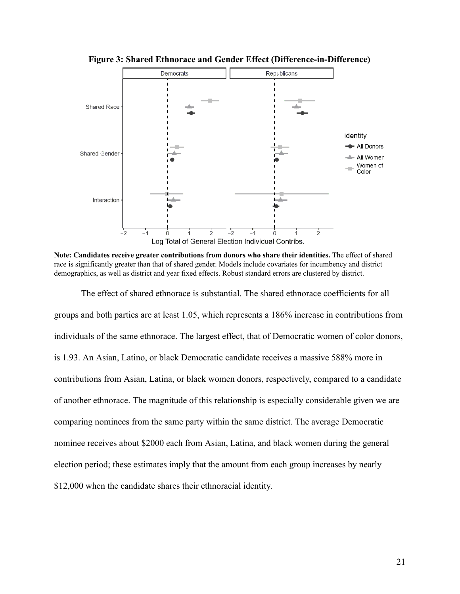

**Figure 3: Shared Ethnorace and Gender Effect (Difference-in-Difference)** 

**Note: Candidates receive greater contributions from donors who share their identities.** The effect of shared race is significantly greater than that of shared gender. Models include covariates for incumbency and district demographics, as well as district and year fixed effects. Robust standard errors are clustered by district.

The effect of shared ethnorace is substantial. The shared ethnorace coefficients for all groups and both parties are at least 1.05, which represents a 186% increase in contributions from individuals of the same ethnorace. The largest effect, that of Democratic women of color donors, is 1.93. An Asian, Latino, or black Democratic candidate receives a massive 588% more in contributions from Asian, Latina, or black women donors, respectively, compared to a candidate of another ethnorace. The magnitude of this relationship is especially considerable given we are comparing nominees from the same party within the same district. The average Democratic nominee receives about \$2000 each from Asian, Latina, and black women during the general election period; these estimates imply that the amount from each group increases by nearly \$12,000 when the candidate shares their ethnoracial identity.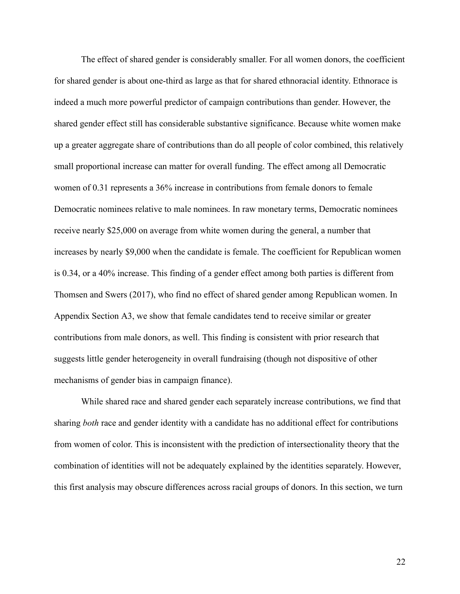The effect of shared gender is considerably smaller. For all women donors, the coefficient for shared gender is about one-third as large as that for shared ethnoracial identity. Ethnorace is indeed a much more powerful predictor of campaign contributions than gender. However, the shared gender effect still has considerable substantive significance. Because white women make up a greater aggregate share of contributions than do all people of color combined, this relatively small proportional increase can matter for overall funding. The effect among all Democratic women of 0.31 represents a 36% increase in contributions from female donors to female Democratic nominees relative to male nominees. In raw monetary terms, Democratic nominees receive nearly \$25,000 on average from white women during the general, a number that increases by nearly \$9,000 when the candidate is female. The coefficient for Republican women is 0.34, or a 40% increase. This finding of a gender effect among both parties is different from Thomsen and Swers (2017), who find no effect of shared gender among Republican women. In Appendix Section A3, we show that female candidates tend to receive similar or greater contributions from male donors, as well. This finding is consistent with prior research that suggests little gender heterogeneity in overall fundraising (though not dispositive of other mechanisms of gender bias in campaign finance).

While shared race and shared gender each separately increase contributions, we find that sharing *both* race and gender identity with a candidate has no additional effect for contributions from women of color. This is inconsistent with the prediction of intersectionality theory that the combination of identities will not be adequately explained by the identities separately. However, this first analysis may obscure differences across racial groups of donors. In this section, we turn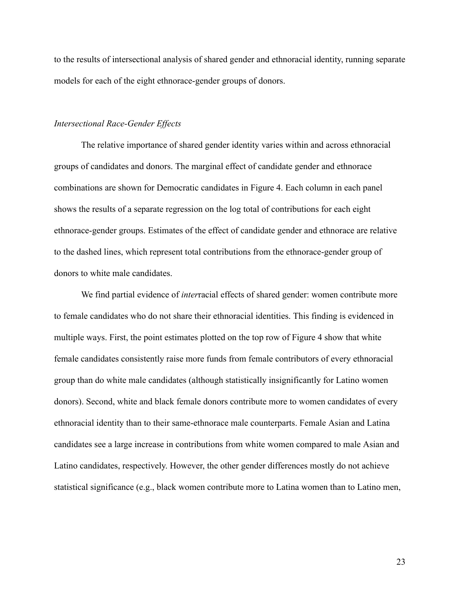to the results of intersectional analysis of shared gender and ethnoracial identity, running separate models for each of the eight ethnorace-gender groups of donors.

#### *Intersectional Race-Gender Effects*

The relative importance of shared gender identity varies within and across ethnoracial groups of candidates and donors. The marginal effect of candidate gender and ethnorace combinations are shown for Democratic candidates in Figure 4. Each column in each panel shows the results of a separate regression on the log total of contributions for each eight ethnorace-gender groups. Estimates of the effect of candidate gender and ethnorace are relative to the dashed lines, which represent total contributions from the ethnorace-gender group of donors to white male candidates.

We find partial evidence of *interracial* effects of shared gender: women contribute more to female candidates who do not share their ethnoracial identities. This finding is evidenced in multiple ways. First, the point estimates plotted on the top row of Figure 4 show that white female candidates consistently raise more funds from female contributors of every ethnoracial group than do white male candidates (although statistically insignificantly for Latino women donors). Second, white and black female donors contribute more to women candidates of every ethnoracial identity than to their same-ethnorace male counterparts. Female Asian and Latina candidates see a large increase in contributions from white women compared to male Asian and Latino candidates, respectively. However, the other gender differences mostly do not achieve statistical significance (e.g., black women contribute more to Latina women than to Latino men,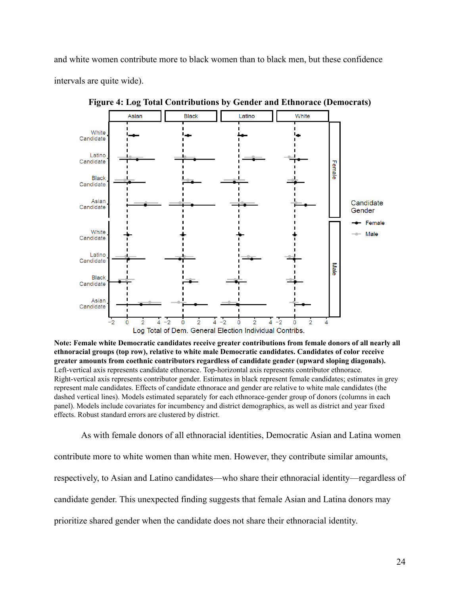and white women contribute more to black women than to black men, but these confidence intervals are quite wide).



**Figure 4: Log Total Contributions by Gender and Ethnorace (Democrats)** 

**Note: Female white Democratic candidates receive greater contributions from female donors of all nearly all ethnoracial groups (top row), relative to white male Democratic candidates. Candidates of color receive greater amounts from coethnic contributors regardless of candidate gender (upward sloping diagonals).** Left-vertical axis represents candidate ethnorace. Top-horizontal axis represents contributor ethnorace. Right-vertical axis represents contributor gender. Estimates in black represent female candidates; estimates in grey represent male candidates. Effects of candidate ethnorace and gender are relative to white male candidates (the dashed vertical lines). Models estimated separately for each ethnorace-gender group of donors (columns in each panel). Models include covariates for incumbency and district demographics, as well as district and year fixed effects. Robust standard errors are clustered by district.

As with female donors of all ethnoracial identities, Democratic Asian and Latina women contribute more to white women than white men. However, they contribute similar amounts, respectively, to Asian and Latino candidates—who share their ethnoracial identity—regardless of candidate gender. This unexpected finding suggests that female Asian and Latina donors may prioritize shared gender when the candidate does not share their ethnoracial identity.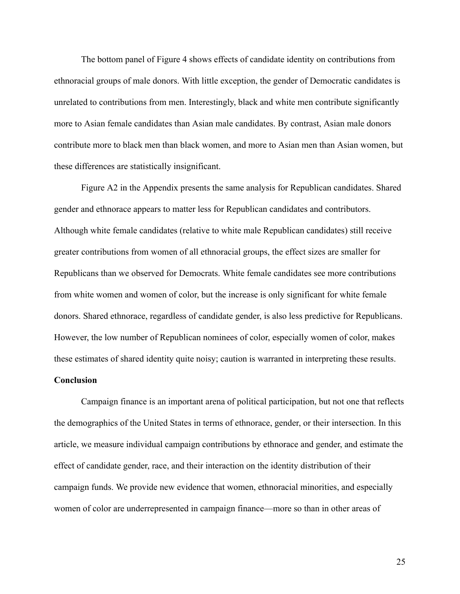The bottom panel of Figure 4 shows effects of candidate identity on contributions from ethnoracial groups of male donors. With little exception, the gender of Democratic candidates is unrelated to contributions from men. Interestingly, black and white men contribute significantly more to Asian female candidates than Asian male candidates. By contrast, Asian male donors contribute more to black men than black women, and more to Asian men than Asian women, but these differences are statistically insignificant.

Figure A2 in the Appendix presents the same analysis for Republican candidates. Shared gender and ethnorace appears to matter less for Republican candidates and contributors. Although white female candidates (relative to white male Republican candidates) still receive greater contributions from women of all ethnoracial groups, the effect sizes are smaller for Republicans than we observed for Democrats. White female candidates see more contributions from white women and women of color, but the increase is only significant for white female donors. Shared ethnorace, regardless of candidate gender, is also less predictive for Republicans. However, the low number of Republican nominees of color, especially women of color, makes these estimates of shared identity quite noisy; caution is warranted in interpreting these results.

#### **Conclusion**

Campaign finance is an important arena of political participation, but not one that reflects the demographics of the United States in terms of ethnorace, gender, or their intersection. In this article, we measure individual campaign contributions by ethnorace and gender, and estimate the effect of candidate gender, race, and their interaction on the identity distribution of their campaign funds. We provide new evidence that women, ethnoracial minorities, and especially women of color are underrepresented in campaign finance—more so than in other areas of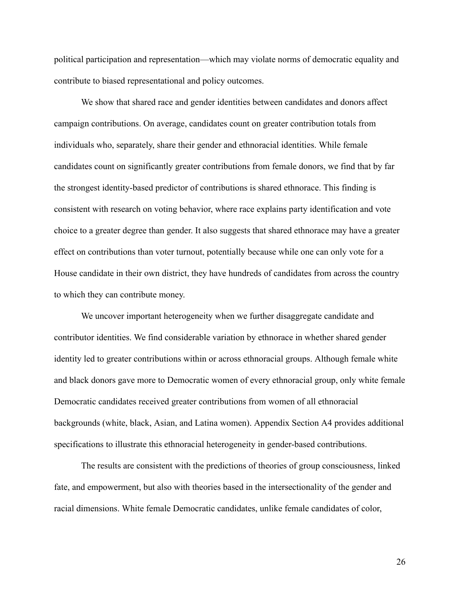political participation and representation—which may violate norms of democratic equality and contribute to biased representational and policy outcomes.

We show that shared race and gender identities between candidates and donors affect campaign contributions. On average, candidates count on greater contribution totals from individuals who, separately, share their gender and ethnoracial identities. While female candidates count on significantly greater contributions from female donors, we find that by far the strongest identity-based predictor of contributions is shared ethnorace. This finding is consistent with research on voting behavior, where race explains party identification and vote choice to a greater degree than gender. It also suggests that shared ethnorace may have a greater effect on contributions than voter turnout, potentially because while one can only vote for a House candidate in their own district, they have hundreds of candidates from across the country to which they can contribute money.

We uncover important heterogeneity when we further disaggregate candidate and contributor identities. We find considerable variation by ethnorace in whether shared gender identity led to greater contributions within or across ethnoracial groups. Although female white and black donors gave more to Democratic women of every ethnoracial group, only white female Democratic candidates received greater contributions from women of all ethnoracial backgrounds (white, black, Asian, and Latina women). Appendix Section A4 provides additional specifications to illustrate this ethnoracial heterogeneity in gender-based contributions.

The results are consistent with the predictions of theories of group consciousness, linked fate, and empowerment, but also with theories based in the intersectionality of the gender and racial dimensions. White female Democratic candidates, unlike female candidates of color,

26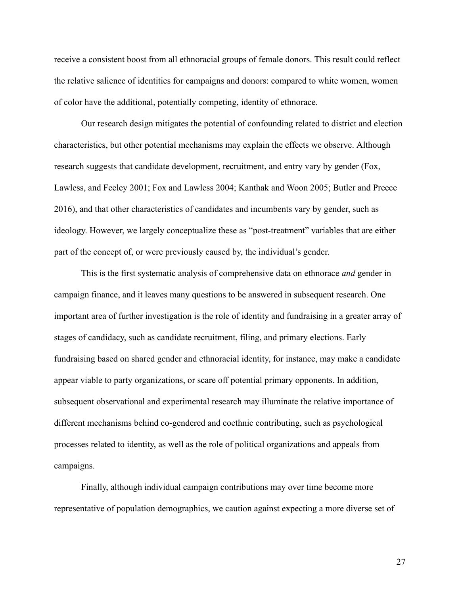receive a consistent boost from all ethnoracial groups of female donors. This result could reflect the relative salience of identities for campaigns and donors: compared to white women, women of color have the additional, potentially competing, identity of ethnorace.

Our research design mitigates the potential of confounding related to district and election characteristics, but other potential mechanisms may explain the effects we observe. Although research suggests that candidate development, recruitment, and entry vary by gender (Fox, Lawless, and Feeley 2001; Fox and Lawless 2004; Kanthak and Woon 2005; Butler and Preece 2016), and that other characteristics of candidates and incumbents vary by gender, such as ideology. However, we largely conceptualize these as "post-treatment" variables that are either part of the concept of, or were previously caused by, the individual's gender.

This is the first systematic analysis of comprehensive data on ethnorace *and* gender in campaign finance, and it leaves many questions to be answered in subsequent research. One important area of further investigation is the role of identity and fundraising in a greater array of stages of candidacy, such as candidate recruitment, filing, and primary elections. Early fundraising based on shared gender and ethnoracial identity, for instance, may make a candidate appear viable to party organizations, or scare off potential primary opponents. In addition, subsequent observational and experimental research may illuminate the relative importance of different mechanisms behind co-gendered and coethnic contributing, such as psychological processes related to identity, as well as the role of political organizations and appeals from campaigns.

Finally, although individual campaign contributions may over time become more representative of population demographics, we caution against expecting a more diverse set of

27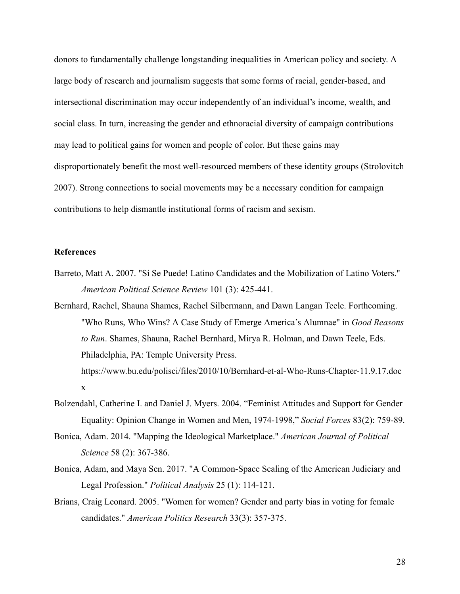donors to fundamentally challenge longstanding inequalities in American policy and society. A large body of research and journalism suggests that some forms of racial, gender-based, and intersectional discrimination may occur independently of an individual's income, wealth, and social class. In turn, increasing the gender and ethnoracial diversity of campaign contributions may lead to political gains for women and people of color. But these gains may disproportionately benefit the most well-resourced members of these identity groups (Strolovitch 2007). Strong connections to social movements may be a necessary condition for campaign contributions to help dismantle institutional forms of racism and sexism.

#### **References**

- Barreto, Matt A. 2007. "Sí Se Puede! Latino Candidates and the Mobilization of Latino Voters." *American Political Science Review* 101 (3): 425-441.
- Bernhard, Rachel, Shauna Shames, Rachel Silbermann, and Dawn Langan Teele. Forthcoming. "Who Runs, Who Wins? A Case Study of Emerge America's Alumnae" in *Good Reasons to Run* . Shames, Shauna, Rachel Bernhard, Mirya R. Holman, and Dawn Teele, Eds. Philadelphia, PA: Temple University Press.

https://www.bu.edu/polisci/files/2010/10/Bernhard-et-al-Who-Runs-Chapter-11.9.17.doc x

- Bolzendahl, Catherine I. and Daniel J. Myers. 2004. "Feminist Attitudes and Support for Gender Equality: Opinion Change in Women and Men, 1974-1998," *Social Forces* 83(2): 759-89.
- Bonica, Adam. 2014. "Mapping the Ideological Marketplace." *American Journal of Political Science* 58 (2): 367-386.
- Bonica, Adam, and Maya Sen. 2017. "A Common-Space Scaling of the American Judiciary and Legal Profession." *Political Analysis* 25 (1): 114-121.
- Brians, Craig Leonard. 2005. "Women for women? Gender and party bias in voting for female candidates." *American Politics Research* 33(3): 357-375.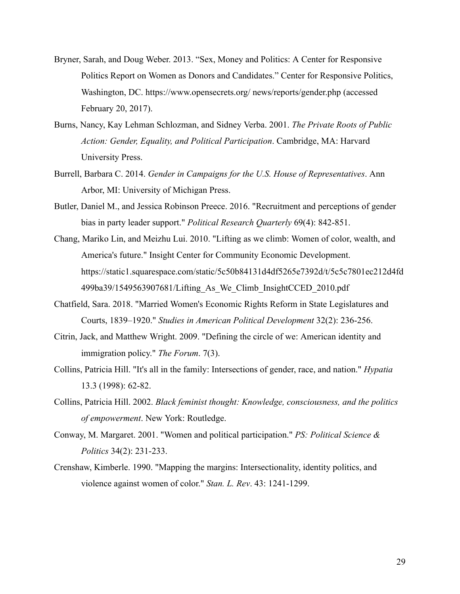- Bryner, Sarah, and Doug Weber. 2013. "Sex, Money and Politics: A Center for Responsive Politics Report on Women as Donors and Candidates." Center for Responsive Politics, Washington, DC. https://www.opensecrets.org/ news/reports/gender.php (accessed February 20, 2017).
- Burns, Nancy, Kay Lehman Schlozman, and Sidney Verba. 2001. *The Private Roots of Public Action: Gender, Equality, and Political Participation* . Cambridge, MA: Harvard University Press.
- Burrell, Barbara C. 2014. *Gender in Campaigns for the U.S. House of Representatives* . Ann Arbor, MI: University of Michigan Press.
- Butler, Daniel M., and Jessica Robinson Preece. 2016. "Recruitment and perceptions of gender bias in party leader support." *Political Research Quarterly* 69(4): 842-851.
- Chang, Mariko Lin, and Meizhu Lui. 2010. "Lifting as we climb: Women of color, wealth, and America's future." Insight Center for Community Economic Development. https://static1.squarespace.com/static/5c50b84131d4df5265e7392d/t/5c5c7801ec212d4fd 499ba39/1549563907681/Lifting\_As\_We\_Climb\_InsightCCED\_2010.pdf
- Chatfield, Sara. 2018. "Married Women's Economic Rights Reform in State Legislatures and Courts, 1839–1920." *Studies in American Political Development* 32(2): 236-256.
- Citrin, Jack, and Matthew Wright. 2009. "Defining the circle of we: American identity and immigration policy." *The Forum.* 7(3).
- Collins, Patricia Hill. "It's all in the family: Intersections of gender, race, and nation." *Hypatia*  13.3 (1998): 62-82.
- Collins, Patricia Hill. 2002. *Black feminist thought: Knowledge, consciousness, and the politics of empowerment* . New York: Routledge.
- Conway, M. Margaret. 2001. "Women and political participation." *PS: Political Science & Politics* 34(2): 231-233.
- Crenshaw, Kimberle. 1990. "Mapping the margins: Intersectionality, identity politics, and violence against women of color." *Stan. L. Rev.* 43: 1241-1299.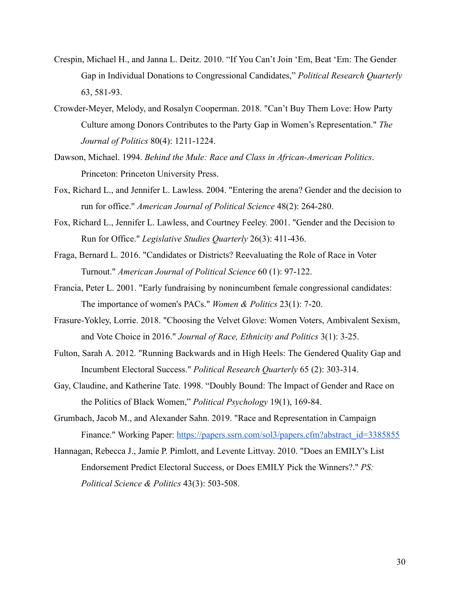- Crespin, Michael H., and Janna L. Deitz. 2010. "If You Can't Join 'Em, Beat 'Em: The Gender Gap in Individual Donations to Congressional Candidates," *Political Research Quarterly*  63, 581-93.
- Crowder-Meyer, Melody, and Rosalyn Cooperman. 2018. "Can't Buy Them Love: How Party Culture among Donors Contributes to the Party Gap in Women's Representation." *The Journal of Politics* 80(4): 1211-1224.
- Dawson, Michael. 1994. *Behind the Mule: Race and Class in African-American Politics* . Princeton: Princeton University Press.
- Fox, Richard L., and Jennifer L. Lawless. 2004. "Entering the arena? Gender and the decision to run for office." *American Journal of Political Science* 48(2): 264-280.
- Fox, Richard L., Jennifer L. Lawless, and Courtney Feeley. 2001. "Gender and the Decision to Run for Office." *Legislative Studies Quarterly* 26(3): 411-436.
- Fraga, Bernard L. 2016. "Candidates or Districts? Reevaluating the Role of Race in Voter Turnout." *American Journal of Political Science* 60 (1): 97-122.
- Francia, Peter L. 2001. "Early fundraising by nonincumbent female congressional candidates: The importance of women's PACs." *Women & Politics* 23(1): 7-20.
- Frasure-Yokley, Lorrie. 2018. "Choosing the Velvet Glove: Women Voters, Ambivalent Sexism, and Vote Choice in 2016." *Journal of Race, Ethnicity and Politics* 3(1): 3-25.
- Fulton, Sarah A. 2012. "Running Backwards and in High Heels: The Gendered Quality Gap and Incumbent Electoral Success." *Political Research Quarterly* 65 (2): 303-314.
- Gay, Claudine, and Katherine Tate. 1998. "Doubly Bound: The Impact of Gender and Race on the Politics of Black Women," *Political Psychology* 19(1), 169-84.
- Grumbach, Jacob M., and Alexander Sahn. 2019. "Race and Representation in Campaign Finance." Working Paper: [https://papers.ssrn.com/sol3/papers.cfm?abstract\\_id=3385855](https://papers.ssrn.com/sol3/papers.cfm?abstract_id=3385855)
- Hannagan, Rebecca J., Jamie P. Pimlott, and Levente Littvay. 2010. "Does an EMILY's List Endorsement Predict Electoral Success, or Does EMILY Pick the Winners?." *PS: Political Science & Politics* 43(3): 503-508.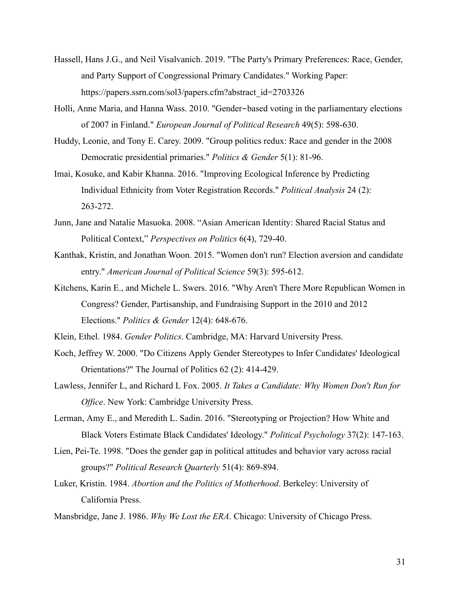- Hassell, Hans J.G., and Neil Visalvanich. 2019. "The Party's Primary Preferences: Race, Gender, and Party Support of Congressional Primary Candidates." Working Paper: https://papers.ssrn.com/sol3/papers.cfm?abstract\_id=2703326
- Holli, Anne Maria, and Hanna Wass. 2010. "Gender-based voting in the parliamentary elections of 2007 in Finland." *European Journal of Political Research* 49(5): 598-630.
- Huddy, Leonie, and Tony E. Carey. 2009. "Group politics redux: Race and gender in the 2008 Democratic presidential primaries." *Politics & Gender* 5(1): 81-96.
- Imai, Kosuke, and Kabir Khanna. 2016. "Improving Ecological Inference by Predicting Individual Ethnicity from Voter Registration Records." *Political Analysis* 24 (2): 263-272.
- Junn, Jane and Natalie Masuoka. 2008. "Asian American Identity: Shared Racial Status and Political Context," *Perspectives on Politics* 6(4), 729-40.
- Kanthak, Kristin, and Jonathan Woon. 2015. "Women don't run? Election aversion and candidate entry." *American Journal of Political Science* 59(3): 595-612.
- Kitchens, Karin E., and Michele L. Swers. 2016. "Why Aren't There More Republican Women in Congress? Gender, Partisanship, and Fundraising Support in the 2010 and 2012 Elections." *Politics & Gender* 12(4): 648-676.

Klein, Ethel. 1984. *Gender Politics* . Cambridge, MA: Harvard University Press.

- Koch, Jeffrey W. 2000. "Do Citizens Apply Gender Stereotypes to Infer Candidates' Ideological Orientations?" The Journal of Politics 62 (2): 414-429.
- Lawless, Jennifer L, and Richard L Fox. 2005. *It Takes a Candidate: Why Women Don't Run for Office.* New York: Cambridge University Press.
- Lerman, Amy E., and Meredith L. Sadin. 2016. "Stereotyping or Projection? How White and Black Voters Estimate Black Candidates' Ideology." *Political Psychology* 37(2): 147-163.
- Lien, Pei-Te. 1998. "Does the gender gap in political attitudes and behavior vary across racial groups?" *Political Research Quarterly* 51(4): 869-894.
- Luker, Kristin. 1984. *Abortion and the Politics of Motherhood* . Berkeley: University of California Press.
- Mansbridge, Jane J. 1986. *Why We Lost the ERA* . Chicago: University of Chicago Press.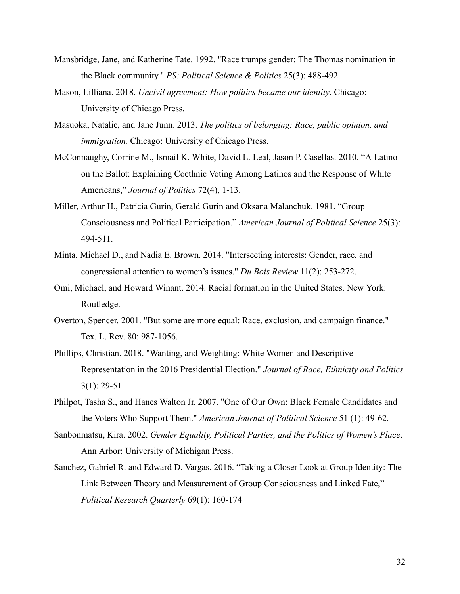- Mansbridge, Jane, and Katherine Tate. 1992. "Race trumps gender: The Thomas nomination in the Black community." *PS: Political Science & Politics* 25(3): 488-492.
- Mason, Lilliana. 2018. *Uncivil agreement: How politics became our identity*. Chicago: University of Chicago Press.
- Masuoka, Natalie, and Jane Junn. 2013. *The politics of belonging: Race, public opinion, and immigration.* Chicago: University of Chicago Press.
- McConnaughy, Corrine M., Ismail K. White, David L. Leal, Jason P. Casellas. 2010. "A Latino on the Ballot: Explaining Coethnic Voting Among Latinos and the Response of White Americans," *Journal of Politics* 72(4), 1-13.
- Miller, Arthur H., Patricia Gurin, Gerald Gurin and Oksana Malanchuk . 1981. "Group Consciousness and Political Participation." *American Journal of Political Science* 25(3): 494-511.
- Minta, Michael D., and Nadia E. Brown. 2014. "Intersecting interests: Gender, race, and congressional attention to women's issues." *Du Bois Review* 11(2): 253-272.
- Omi, Michael, and Howard Winant. 2014. Racial formation in the United States. New York: Routledge.
- Overton, Spencer. 2001. "But some are more equal: Race, exclusion, and campaign finance." Tex. L. Rev. 80: 987-1056.
- Phillips, Christian. 2018. "Wanting, and Weighting: White Women and Descriptive Representation in the 2016 Presidential Election." *Journal of Race, Ethnicity and Politics*  3(1): 29-51.
- Philpot, Tasha S., and Hanes Walton Jr. 2007. "One of Our Own: Black Female Candidates and the Voters Who Support Them." *American Journal of Political Science* 51 (1): 49-62.
- Sanbonmatsu, Kira. 2002. *Gender Equality, Political Parties, and the Politics of Women's Place* . Ann Arbor: University of Michigan Press.
- Sanchez, Gabriel R. and Edward D. Vargas. 2016. "Taking a Closer Look at Group Identity: The Link Between Theory and Measurement of Group Consciousness and Linked Fate," *Political Research Quarterly* 69(1): 160-174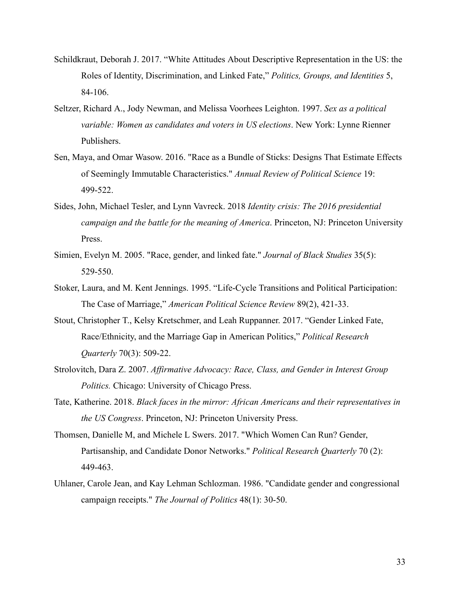- Schildkraut, Deborah J. 2017. "White Attitudes About Descriptive Representation in the US: the Roles of Identity, Discrimination, and Linked Fate," *Politics, Groups, and Identities* 5, 84-106.
- Seltzer, Richard A., Jody Newman, and Melissa Voorhees Leighton. 1997. *Sex as a political variable: Women as candidates and voters in US elections* . New York: Lynne Rienner Publishers.
- Sen, Maya, and Omar Wasow. 2016. "Race as a Bundle of Sticks: Designs That Estimate Effects of Seemingly Immutable Characteristics." *Annual Review of Political Science* 19: 499-522.
- Sides, John, Michael Tesler, and Lynn Vavreck. 2018 *Identity crisis: The 2016 presidential campaign and the battle for the meaning of America. Princeton, NJ: Princeton University* Press.
- Simien, Evelyn M. 2005. "Race, gender, and linked fate." *Journal of Black Studies* 35(5): 529-550.
- Stoker, Laura, and M. Kent Jennings. 1995. "Life-Cycle Transitions and Political Participation: The Case of Marriage," *American Political Science Review* 89(2), 421-33.
- Stout, Christopher T., Kelsy Kretschmer, and Leah Ruppanner. 2017. "Gender Linked Fate, Race/Ethnicity, and the Marriage Gap in American Politics," *Political Research Quarterly* 70(3): 509-22.
- Strolovitch, Dara Z. 2007. *Affirmative Advocacy: Race, Class, and Gender in Interest Group Politics.* Chicago: University of Chicago Press.
- Tate, Katherine. 2018. *Black faces in the mirror: African Americans and their representatives in the US Congress* . Princeton, NJ: Princeton University Press.
- Thomsen, Danielle M, and Michele L Swers. 2017. "Which Women Can Run? Gender, Partisanship, and Candidate Donor Networks." *Political Research Quarterly* 70 (2): 449-463.
- Uhlaner, Carole Jean, and Kay Lehman Schlozman. 1986. "Candidate gender and congressional campaign receipts." *The Journal of Politics* 48(1): 30-50.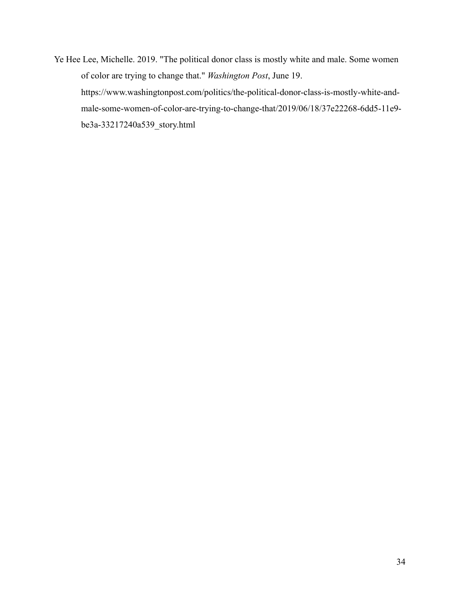Ye Hee Lee, Michelle. 2019. "The political donor class is mostly white and male. Some women of color are trying to change that." *Washington Post* , June 19. https://www.washingtonpost.com/politics/the-political-donor-class-is-mostly-white-andmale-some-women-of-color-are-trying-to-change-that/2019/06/18/37e22268-6dd5-11e9 be3a-33217240a539\_story.html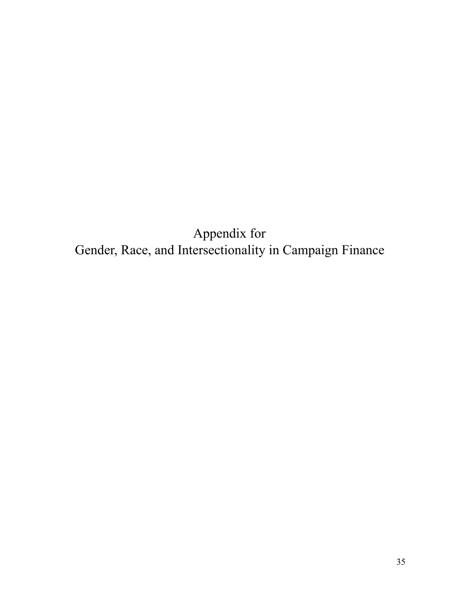Appendix for Gender, Race, and Intersectionality in Campaign Finance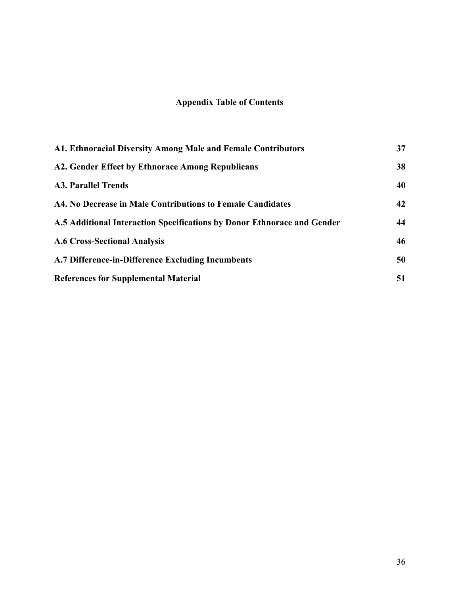## **Appendix Table of Contents**

| A1. Ethnoracial Diversity Among Male and Female Contributors            | 37 |
|-------------------------------------------------------------------------|----|
| A2. Gender Effect by Ethnorace Among Republicans                        | 38 |
| <b>A3. Parallel Trends</b>                                              | 40 |
| A4. No Decrease in Male Contributions to Female Candidates              | 42 |
| A.5 Additional Interaction Specifications by Donor Ethnorace and Gender | 44 |
| <b>A.6 Cross-Sectional Analysis</b>                                     | 46 |
| A.7 Difference-in-Difference Excluding Incumbents                       | 50 |
| <b>References for Supplemental Material</b>                             | 51 |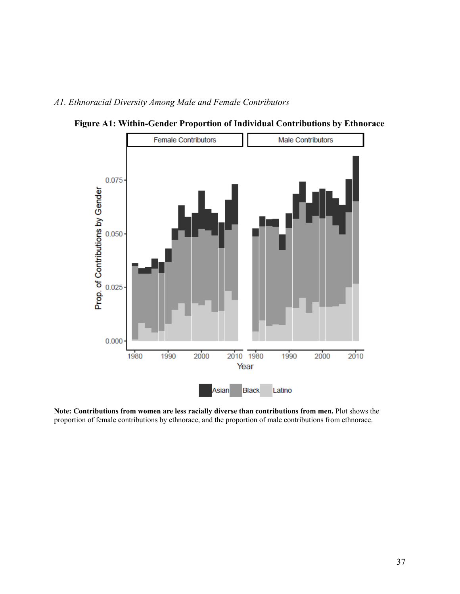### <span id="page-37-0"></span>*A1. Ethnoracial Diversity Among Male and Female Contributors*



**Figure A1: Within-Gender Proportion of Individual Contributions by Ethnorace** 

**Note: Contributions from women are less racially diverse than contributions from men.** Plot shows the proportion of female contributions by ethnorace, and the proportion of male contributions from ethnorace.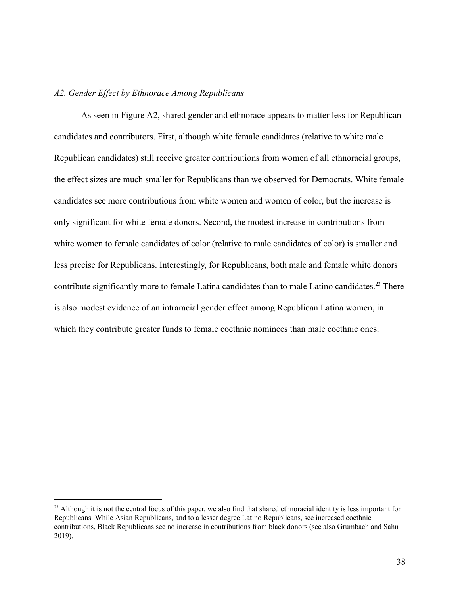#### <span id="page-38-0"></span>*A2. Gender Effect by Ethnorace Among Republicans*

As seen in Figure A2, shared gender and ethnorace appears to matter less for Republican candidates and contributors. First, although white female candidates (relative to white male Republican candidates) still receive greater contributions from women of all ethnoracial groups, the effect sizes are much smaller for Republicans than we observed for Democrats. White female candidates see more contributions from white women and women of color, but the increase is only significant for white female donors. Second, the modest increase in contributions from white women to female candidates of color (relative to male candidates of color) is smaller and less precise for Republicans. Interestingly, for Republicans, both male and female white donors contribute significantly more to female Latina candidates than to male Latino candidates.<sup>23</sup> There is also modest evidence of an intraracial gender effect among Republican Latina women, in which they contribute greater funds to female coethnic nominees than male coethnic ones.

<sup>&</sup>lt;sup>23</sup> Although it is not the central focus of this paper, we also find that shared ethnoracial identity is less important for Republicans. While Asian Republicans, and to a lesser degree Latino Republicans, see increased coethnic contributions, Black Republicans see no increase in contributions from black donors (see also Grumbach and Sahn 2019).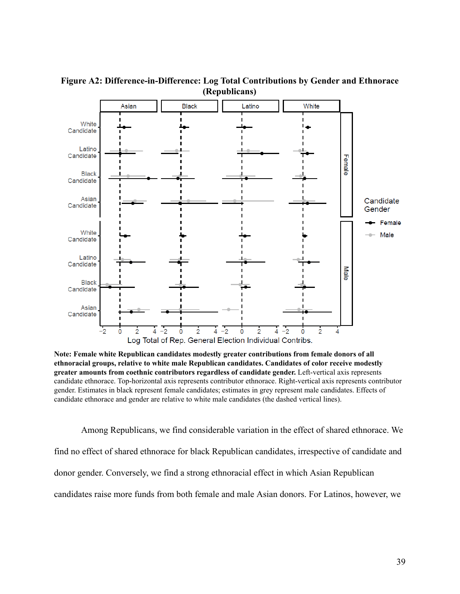

**Figure A2: Difference-in-Difference: Log Total Contributions by Gender and Ethnorace (Republicans)** 

**Note: Female white Republican candidates modestly greater contributions from female donors of all ethnoracial groups, relative to white male Republican candidates. Candidates of color receive modestly greater amounts from coethnic contributors regardless of candidate gender.** Left-vertical axis represents candidate ethnorace. Top-horizontal axis represents contributor ethnorace. Right-vertical axis represents contributor gender. Estimates in black represent female candidates; estimates in grey represent male candidates. Effects of candidate ethnorace and gender are relative to white male candidates (the dashed vertical lines).

Among Republicans, we find considerable variation in the effect of shared ethnorace. We find no effect of shared ethnorace for black Republican candidates, irrespective of candidate and donor gender. Conversely, we find a strong ethnoracial effect in which Asian Republican candidates raise more funds from both female and male Asian donors. For Latinos, however, we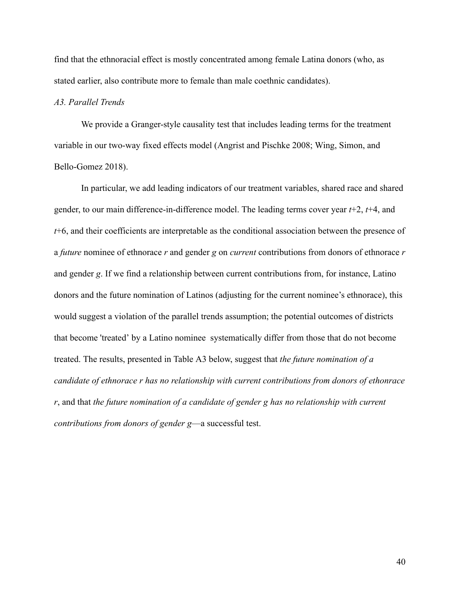find that the ethnoracial effect is mostly concentrated among female Latina donors (who, as stated earlier, also contribute more to female than male coethnic candidates).

#### <span id="page-40-0"></span>*A3. Parallel Trends*

We provide a Granger-style causality test that includes leading terms for the treatment variable in our two-way fixed effects model (Angrist and Pischke 2008; Wing, Simon, and Bello-Gomez 2018).

In particular, we add leading indicators of our treatment variables, shared race and shared gender, to our main difference-in-difference model. The leading terms cover year  $t+2$ ,  $t+4$ , and *t*+6, and their coefficients are interpretable as the conditional association between the presence of a *future* nominee of ethnorace *r* and gender *g* on *current* contributions from donors of ethnorace *r*  and gender *g*. If we find a relationship between current contributions from, for instance, Latino donors and the future nomination of Latinos (adjusting for the current nominee's ethnorace), this would suggest a violation of the parallel trends assumption; the potential outcomes of districts that become 'treated' by a Latino nominee systematically differ from those that do not become treated. The results, presented in Table A3 below, suggest that *the future nomination of a candidate of ethnorace r has no relationship with current contributions from donors of ethonrace r* , and that *the future nomination of a candidate of gender g has no relationship with current contributions from donors of gender g*—a successful test.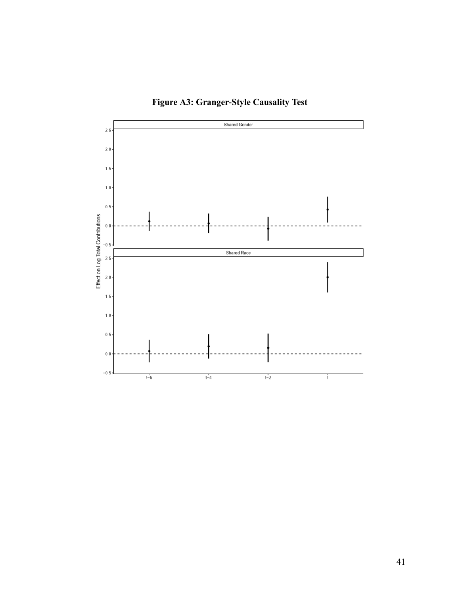

**Figure A3: Granger-Style Causality Test**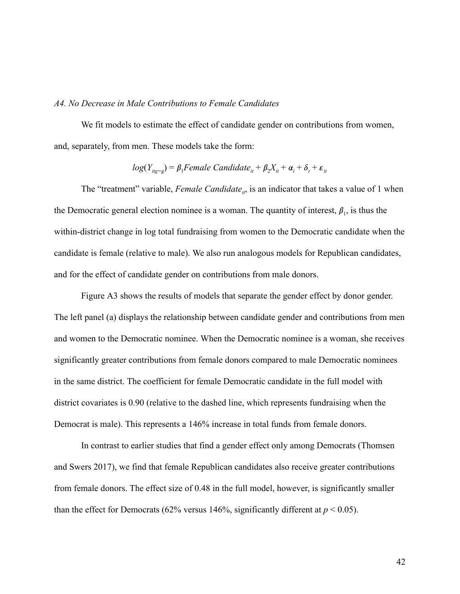#### <span id="page-42-0"></span>*A4. No Decrease in Male Contributions to Female Candidates*

We fit models to estimate the effect of candidate gender on contributions from women, and, separately, from men. These models take the form:

$$
log(Y_{i_{1g=g}}) = \beta_1
$$
Female Candidate<sub>it</sub> +  $\beta_2 X_{it} + \alpha_i + \delta_t + \varepsilon_{it}$ 

The "treatment" variable, *Female Candidate*<sub>*it*</sub>, is an indicator that takes a value of 1 when the Democratic general election nominee is a woman. The quantity of interest,  $\beta_1$ , is thus the within-district change in log total fundraising from women to the Democratic candidate when the candidate is female (relative to male). We also run analogous models for Republican candidates, and for the effect of candidate gender on contributions from male donors.

Figure A3 shows the results of models that separate the gender effect by donor gender. The left panel (a) displays the relationship between candidate gender and contributions from men and women to the Democratic nominee. When the Democratic nominee is a woman, she receives significantly greater contributions from female donors compared to male Democratic nominees in the same district. The coefficient for female Democratic candidate in the full model with district covariates is 0.90 (relative to the dashed line, which represents fundraising when the Democrat is male). This represents a 146% increase in total funds from female donors.

In contrast to earlier studies that find a gender effect only among Democrats (Thomsen and Swers 2017), we find that female Republican candidates also receive greater contributions from female donors. The effect size of 0.48 in the full model, however, is significantly smaller than the effect for Democrats (62% versus 146%, significantly different at  $p < 0.05$ ).

42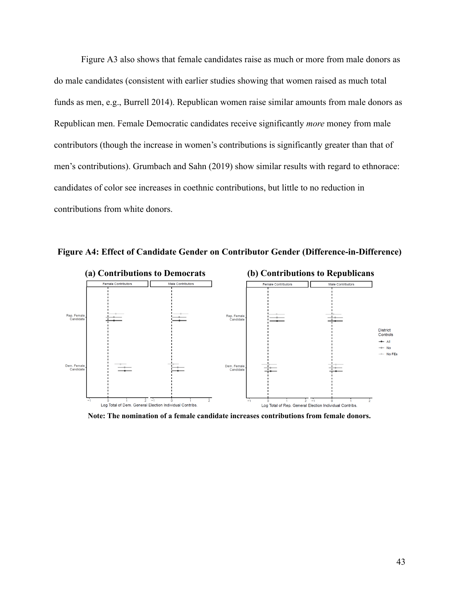Figure A3 also shows that female candidates raise as much or more from male donors as do male candidates (consistent with earlier studies showing that women raised as much total funds as men, e.g., Burrell 2014). Republican women raise similar amounts from male donors as Republican men. Female Democratic candidates receive significantly *more* money from male contributors (though the increase in women's contributions is significantly greater than that of men's contributions). Grumbach and Sahn (2019) show similar results with regard to ethnorace: candidates of color see increases in coethnic contributions, but little to no reduction in contributions from white donors.



**Figure A4: Effect of Candidate Gender on Contributor Gender (Difference-in-Difference)** 

**Note: The nomination of a female candidate increases contributions from female donors.**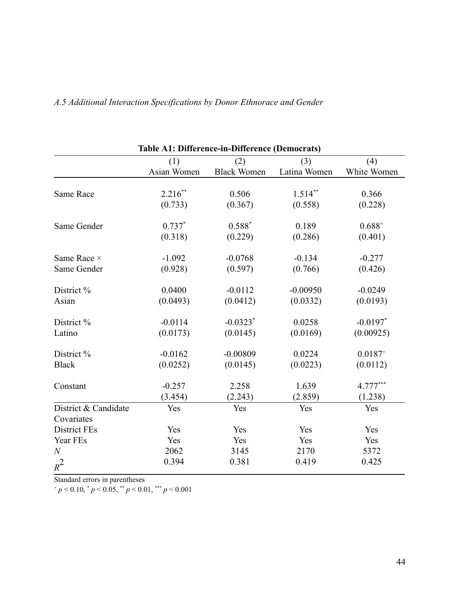| <b>Table A1: Difference-in-Difference (Democrats)</b> |             |                    |              |              |  |
|-------------------------------------------------------|-------------|--------------------|--------------|--------------|--|
|                                                       | (1)         | (2)                | (3)          | (4)          |  |
|                                                       | Asian Women | <b>Black Women</b> | Latina Women | White Women  |  |
|                                                       |             |                    |              |              |  |
| <b>Same Race</b>                                      | $2.216**$   | 0.506              | $1.514**$    | 0.366        |  |
|                                                       | (0.733)     | (0.367)            | (0.558)      | (0.228)      |  |
| Same Gender                                           | $0.737*$    | $0.588*$           | 0.189        | $0.688^{+}$  |  |
|                                                       | (0.318)     | (0.229)            | (0.286)      | (0.401)      |  |
| Same Race ×                                           | $-1.092$    | $-0.0768$          | $-0.134$     | $-0.277$     |  |
| Same Gender                                           | (0.928)     | (0.597)            | (0.766)      | (0.426)      |  |
| District %                                            | 0.0400      | $-0.0112$          | $-0.00950$   | $-0.0249$    |  |
|                                                       |             |                    |              |              |  |
| Asian                                                 | (0.0493)    | (0.0412)           | (0.0332)     | (0.0193)     |  |
| District %                                            | $-0.0114$   | $-0.0323*$         | 0.0258       | $-0.0197$ *  |  |
| Latino                                                | (0.0173)    | (0.0145)           | (0.0169)     | (0.00925)    |  |
| District %                                            | $-0.0162$   | $-0.00809$         | 0.0224       | $0.0187^{+}$ |  |
| <b>Black</b>                                          | (0.0252)    | (0.0145)           | (0.0223)     | (0.0112)     |  |
| Constant                                              | $-0.257$    | 2.258              | 1.639        | 4.777***     |  |
|                                                       | (3.454)     | (2.243)            | (2.859)      | (1.238)      |  |
| District & Candidate                                  | Yes         | Yes                | Yes          | Yes          |  |
| Covariates                                            |             |                    |              |              |  |
| <b>District FEs</b>                                   | Yes         | Yes                | Yes          | Yes          |  |
| Year FEs                                              | Yes         | Yes                | Yes          | Yes          |  |
| $\boldsymbol{N}$                                      | 2062        | 3145               | 2170         | 5372         |  |
| $R^2$                                                 | 0.394       | 0.381              | 0.419        | 0.425        |  |

## <span id="page-44-0"></span>*A.5 Additional Interaction Specifications by Donor Ethnorace and Gender*

Standard errors in parentheses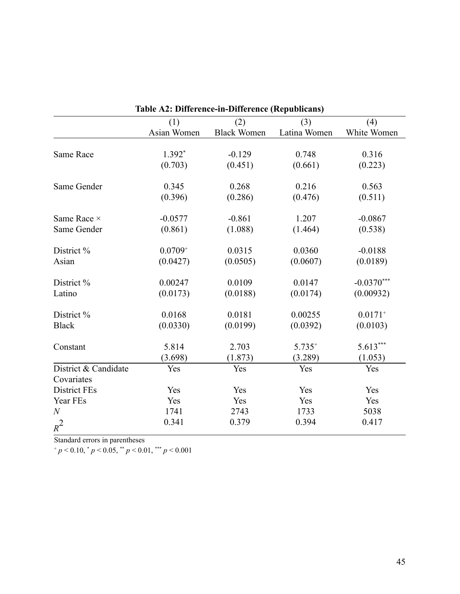| Table A2: Difference-in-Difference (Republicans) |              |                    |              |              |  |
|--------------------------------------------------|--------------|--------------------|--------------|--------------|--|
|                                                  | (1)          | (2)                | (3)          | (4)          |  |
|                                                  | Asian Women  | <b>Black Women</b> | Latina Women | White Women  |  |
| Same Race                                        | $1.392*$     | $-0.129$           | 0.748        | 0.316        |  |
|                                                  | (0.703)      | (0.451)            | (0.661)      | (0.223)      |  |
| Same Gender                                      | 0.345        | 0.268              | 0.216        | 0.563        |  |
|                                                  | (0.396)      | (0.286)            | (0.476)      | (0.511)      |  |
| Same Race ×                                      | $-0.0577$    | $-0.861$           | 1.207        | $-0.0867$    |  |
| Same Gender                                      | (0.861)      | (1.088)            | (1.464)      | (0.538)      |  |
| District %                                       | $0.0709^{+}$ | 0.0315             | 0.0360       | $-0.0188$    |  |
| Asian                                            | (0.0427)     | (0.0505)           | (0.0607)     | (0.0189)     |  |
| District %                                       | 0.00247      | 0.0109             | 0.0147       | $-0.0370***$ |  |
| Latino                                           | (0.0173)     | (0.0188)           | (0.0174)     | (0.00932)    |  |
| District %                                       | 0.0168       | 0.0181             | 0.00255      | $0.0171^{+}$ |  |
| <b>Black</b>                                     | (0.0330)     | (0.0199)           | (0.0392)     | (0.0103)     |  |
| Constant                                         | 5.814        | 2.703              | $5.735^{+}$  | 5.613***     |  |
|                                                  | (3.698)      | (1.873)            | (3.289)      | (1.053)      |  |
| District & Candidate                             | Yes          | Yes                | Yes          | Yes          |  |
| Covariates                                       |              |                    |              |              |  |
| <b>District FEs</b>                              | Yes          | Yes                | Yes          | Yes          |  |
| Year FEs                                         | Yes          | Yes                | Yes          | Yes          |  |
| $\mathcal N$                                     | 1741         | 2743               | 1733         | 5038         |  |
| $R^2$                                            | 0.341        | 0.379              | 0.394        | 0.417        |  |

**Table A2: Difference-in-Difference (Republicans)** 

Standard errors in parentheses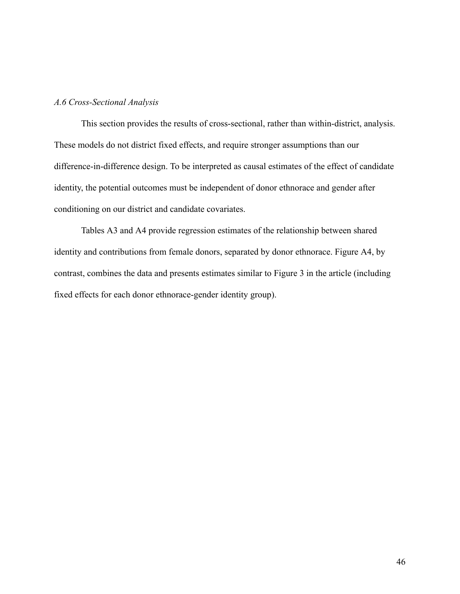#### <span id="page-46-0"></span>*A.6 Cross-Sectional Analysis*

This section provides the results of cross-sectional, rather than within-district, analysis. These models do not district fixed effects, and require stronger assumptions than our difference-in-difference design. To be interpreted as causal estimates of the effect of candidate identity, the potential outcomes must be independent of donor ethnorace and gender after conditioning on our district and candidate covariates.

Tables A3 and A4 provide regression estimates of the relationship between shared identity and contributions from female donors, separated by donor ethnorace. Figure A4, by contrast, combines the data and presents estimates similar to Figure 3 in the article (including fixed effects for each donor ethnorace-gender identity group).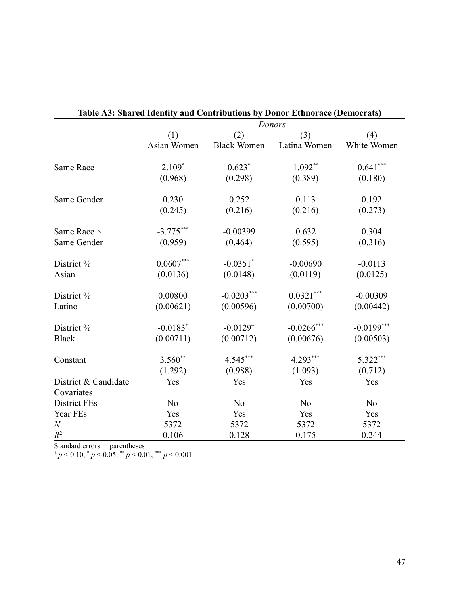|                      |                        |                        | Donors         |                |
|----------------------|------------------------|------------------------|----------------|----------------|
|                      | (1)                    | (2)                    | (3)            | (4)            |
|                      | Asian Women            | <b>Black Women</b>     | Latina Women   | White Women    |
|                      |                        |                        |                |                |
| <b>Same Race</b>     | $2.109*$               | $0.623*$               | $1.092**$      | $0.641***$     |
|                      | (0.968)                | (0.298)                | (0.389)        | (0.180)        |
| Same Gender          | 0.230                  | 0.252                  | 0.113          | 0.192          |
|                      | (0.245)                | (0.216)                | (0.216)        | (0.273)        |
| Same Race ×          | $-3.775***$            | $-0.00399$             | 0.632          | 0.304          |
| Same Gender          | (0.959)                | (0.464)                | (0.595)        | (0.316)        |
|                      |                        |                        |                |                |
| District %           | $0.0607***$            | $-0.0351$ *            | $-0.00690$     | $-0.0113$      |
| Asian                | (0.0136)               | (0.0148)               | (0.0119)       | (0.0125)       |
| District %           | 0.00800                | $-0.0203***$           | $0.0321***$    | $-0.00309$     |
| Latino               | (0.00621)              | (0.00596)              | (0.00700)      | (0.00442)      |
| District %           | $-0.0183$ <sup>*</sup> | $-0.0129$ <sup>+</sup> | $-0.0266$ ***  | $-0.0199***$   |
| <b>Black</b>         | (0.00711)              | (0.00712)              | (0.00676)      | (0.00503)      |
| Constant             | $3.560**$              | 4.545***               | $4.293***$     | 5.322***       |
|                      | (1.292)                | (0.988)                | (1.093)        | (0.712)        |
| District & Candidate | Yes                    | Yes                    | Yes            | Yes            |
| Covariates           |                        |                        |                |                |
| <b>District FEs</b>  | N <sub>o</sub>         | N <sub>o</sub>         | N <sub>o</sub> | N <sub>0</sub> |
| Year FEs             | Yes                    | Yes                    | Yes            | Yes            |
| $\boldsymbol{N}$     | 5372                   | 5372                   | 5372           | 5372           |
| $R^2$                | 0.106                  | 0.128                  | 0.175          | 0.244          |

| Table A3: Shared Identity and Contributions by Donor Ethnorace (Democrats) |  |  |
|----------------------------------------------------------------------------|--|--|
|                                                                            |  |  |

Standard errors in parentheses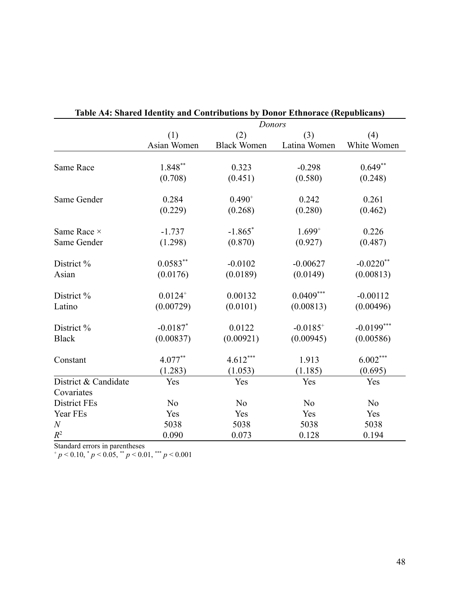|                      | Donor Ethnorace (Inspirations)<br>Donors |                    |                |                |  |
|----------------------|------------------------------------------|--------------------|----------------|----------------|--|
|                      | (1)                                      | (2)                | (3)            | (4)            |  |
|                      | Asian Women                              | <b>Black Women</b> | Latina Women   | White Women    |  |
|                      |                                          |                    |                |                |  |
| <b>Same Race</b>     | 1.848**                                  | 0.323              | $-0.298$       | $0.649**$      |  |
|                      | (0.708)                                  | (0.451)            | (0.580)        | (0.248)        |  |
| Same Gender          | 0.284                                    | $0.490^{+}$        | 0.242          | 0.261          |  |
|                      | (0.229)                                  | (0.268)            | (0.280)        | (0.462)        |  |
| Same Race ×          | $-1.737$                                 | $-1.865*$          | $1.699^{+}$    | 0.226          |  |
| Same Gender          | (1.298)                                  | (0.870)            | (0.927)        | (0.487)        |  |
| District %           | $0.0583**$                               | $-0.0102$          | $-0.00627$     | $-0.0220$ **   |  |
| Asian                | (0.0176)                                 | (0.0189)           | (0.0149)       | (0.00813)      |  |
| District %           | $0.0124^{+}$                             | 0.00132            | $0.0409***$    | $-0.00112$     |  |
| Latino               | (0.00729)                                | (0.0101)           | (0.00813)      | (0.00496)      |  |
| District %           | $-0.0187$ *                              | 0.0122             | $-0.0185^{+}$  | $-0.0199***$   |  |
| <b>Black</b>         | (0.00837)                                | (0.00921)          | (0.00945)      | (0.00586)      |  |
| Constant             | $4.077**$                                | $4.612***$         | 1.913          | $6.002***$     |  |
|                      | (1.283)                                  | (1.053)            | (1.185)        | (0.695)        |  |
| District & Candidate | Yes                                      | Yes                | Yes            | Yes            |  |
| Covariates           |                                          |                    |                |                |  |
| <b>District FEs</b>  | N <sub>o</sub>                           | N <sub>o</sub>     | N <sub>o</sub> | N <sub>o</sub> |  |
| Year FEs             | Yes                                      | Yes                | Yes            | Yes            |  |
| $\boldsymbol{N}$     | 5038                                     | 5038               | 5038           | 5038           |  |
| $R^2$                | 0.090                                    | 0.073              | 0.128          | 0.194          |  |

| Table A4: Shared Identity and Contributions by Donor Ethnorace (Republicans) |  |  |
|------------------------------------------------------------------------------|--|--|
|                                                                              |  |  |

Standard errors in parentheses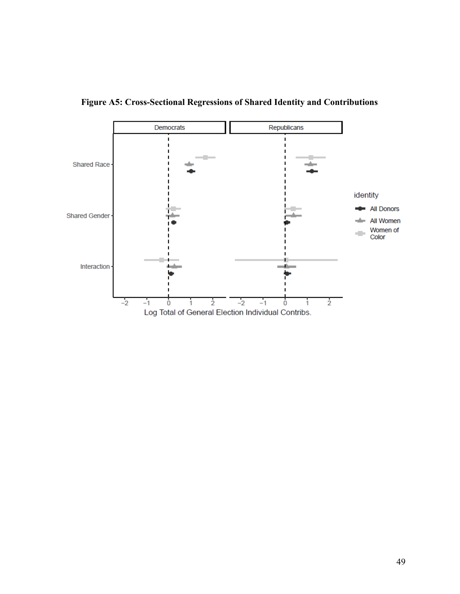

**Figure A5: Cross-Sectional Regressions of Shared Identity and Contributions**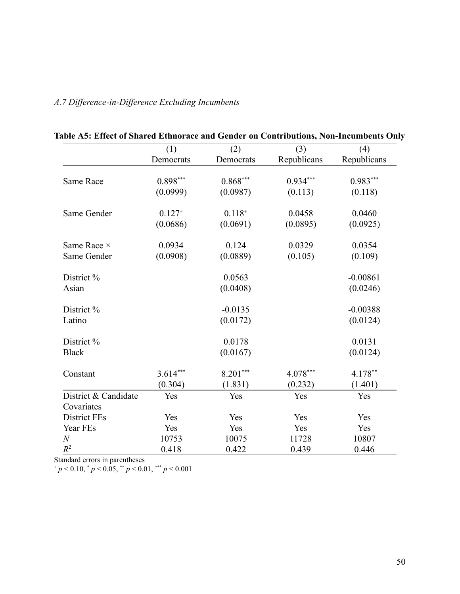|                      | (1)         | (2)         | (3)         | (4)         |
|----------------------|-------------|-------------|-------------|-------------|
|                      | Democrats   | Democrats   | Republicans | Republicans |
| <b>Same Race</b>     | $0.898***$  | $0.868***$  | $0.934***$  | $0.983***$  |
|                      | (0.0999)    | (0.0987)    | (0.113)     | (0.118)     |
| Same Gender          | $0.127^{+}$ | $0.118^{+}$ | 0.0458      | 0.0460      |
|                      | (0.0686)    | (0.0691)    | (0.0895)    | (0.0925)    |
| Same Race ×          | 0.0934      | 0.124       | 0.0329      | 0.0354      |
| Same Gender          | (0.0908)    | (0.0889)    | (0.105)     | (0.109)     |
| District %           |             | 0.0563      |             | $-0.00861$  |
| Asian                |             | (0.0408)    |             | (0.0246)    |
| District %           |             | $-0.0135$   |             | $-0.00388$  |
| Latino               |             | (0.0172)    |             | (0.0124)    |
| District %           |             | 0.0178      |             | 0.0131      |
| <b>Black</b>         |             | (0.0167)    |             | (0.0124)    |
| Constant             | $3.614***$  | $8.201***$  | $4.078***$  | 4.178**     |
|                      | (0.304)     | (1.831)     | (0.232)     | (1.401)     |
| District & Candidate | Yes         | Yes         | Yes         | Yes         |
| Covariates           |             |             |             |             |
| District FEs         | Yes         | Yes         | Yes         | Yes         |
| Year FEs             | Yes         | Yes         | Yes         | Yes         |
| $\mathcal N$         | 10753       | 10075       | 11728       | 10807       |
| $R^2$                | 0.418       | 0.422       | 0.439       | 0.446       |

## **Table A5: Effect of Shared Ethnorace and Gender on Contributions, Non-Incumbents Only**

<span id="page-50-0"></span>*A.7 Difference-in-Difference Excluding Incumbents* 

Standard errors in parentheses